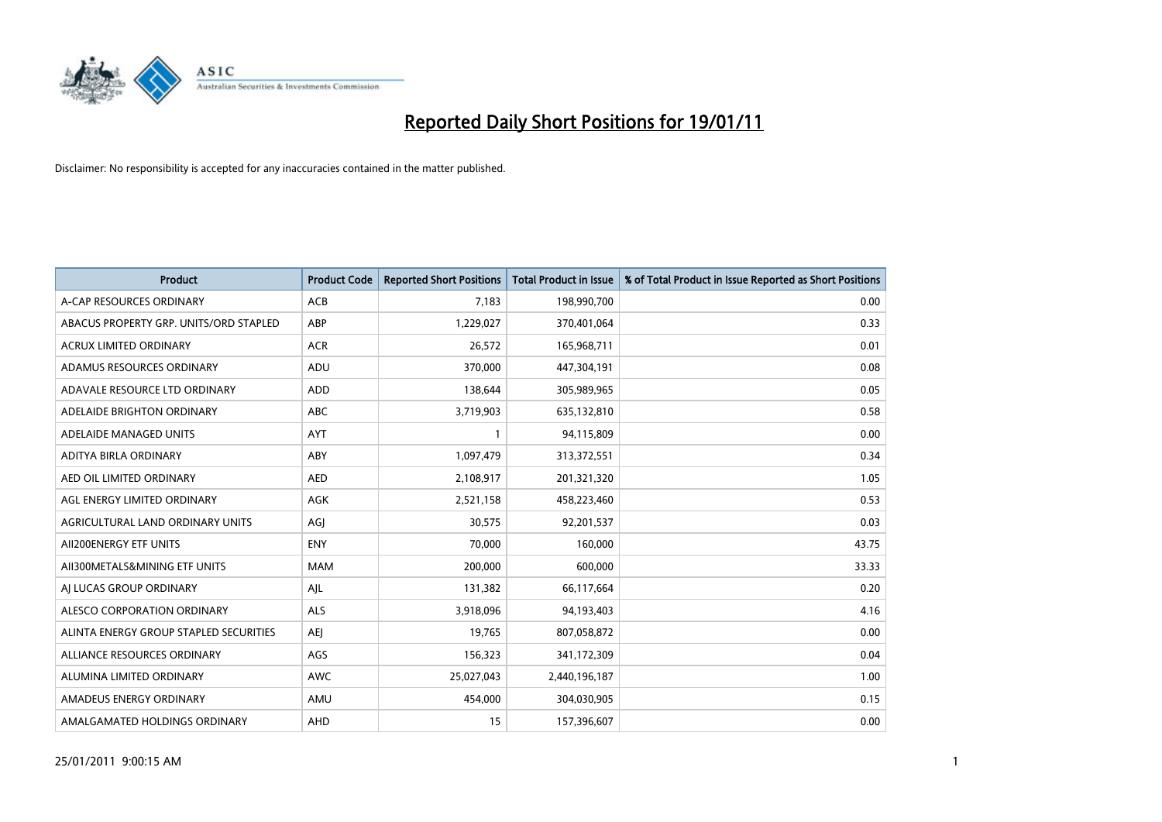

| <b>Product</b>                         | <b>Product Code</b> | <b>Reported Short Positions</b> | Total Product in Issue | % of Total Product in Issue Reported as Short Positions |
|----------------------------------------|---------------------|---------------------------------|------------------------|---------------------------------------------------------|
| A-CAP RESOURCES ORDINARY               | ACB                 | 7,183                           | 198,990,700            | 0.00                                                    |
| ABACUS PROPERTY GRP. UNITS/ORD STAPLED | ABP                 | 1,229,027                       | 370,401,064            | 0.33                                                    |
| <b>ACRUX LIMITED ORDINARY</b>          | <b>ACR</b>          | 26,572                          | 165,968,711            | 0.01                                                    |
| ADAMUS RESOURCES ORDINARY              | ADU                 | 370,000                         | 447,304,191            | 0.08                                                    |
| ADAVALE RESOURCE LTD ORDINARY          | <b>ADD</b>          | 138,644                         | 305,989,965            | 0.05                                                    |
| ADELAIDE BRIGHTON ORDINARY             | <b>ABC</b>          | 3,719,903                       | 635,132,810            | 0.58                                                    |
| ADELAIDE MANAGED UNITS                 | <b>AYT</b>          |                                 | 94,115,809             | 0.00                                                    |
| ADITYA BIRLA ORDINARY                  | ABY                 | 1,097,479                       | 313,372,551            | 0.34                                                    |
| AED OIL LIMITED ORDINARY               | <b>AED</b>          | 2,108,917                       | 201,321,320            | 1.05                                                    |
| AGL ENERGY LIMITED ORDINARY            | <b>AGK</b>          | 2,521,158                       | 458,223,460            | 0.53                                                    |
| AGRICULTURAL LAND ORDINARY UNITS       | AGJ                 | 30,575                          | 92,201,537             | 0.03                                                    |
| AII200ENERGY ETF UNITS                 | <b>ENY</b>          | 70,000                          | 160,000                | 43.75                                                   |
| AII300METALS&MINING ETF UNITS          | <b>MAM</b>          | 200,000                         | 600,000                | 33.33                                                   |
| AI LUCAS GROUP ORDINARY                | AJL                 | 131,382                         | 66,117,664             | 0.20                                                    |
| ALESCO CORPORATION ORDINARY            | <b>ALS</b>          | 3,918,096                       | 94,193,403             | 4.16                                                    |
| ALINTA ENERGY GROUP STAPLED SECURITIES | <b>AEI</b>          | 19,765                          | 807,058,872            | 0.00                                                    |
| ALLIANCE RESOURCES ORDINARY            | AGS                 | 156,323                         | 341,172,309            | 0.04                                                    |
| ALUMINA LIMITED ORDINARY               | <b>AWC</b>          | 25,027,043                      | 2,440,196,187          | 1.00                                                    |
| AMADEUS ENERGY ORDINARY                | AMU                 | 454,000                         | 304,030,905            | 0.15                                                    |
| AMALGAMATED HOLDINGS ORDINARY          | <b>AHD</b>          | 15                              | 157,396,607            | 0.00                                                    |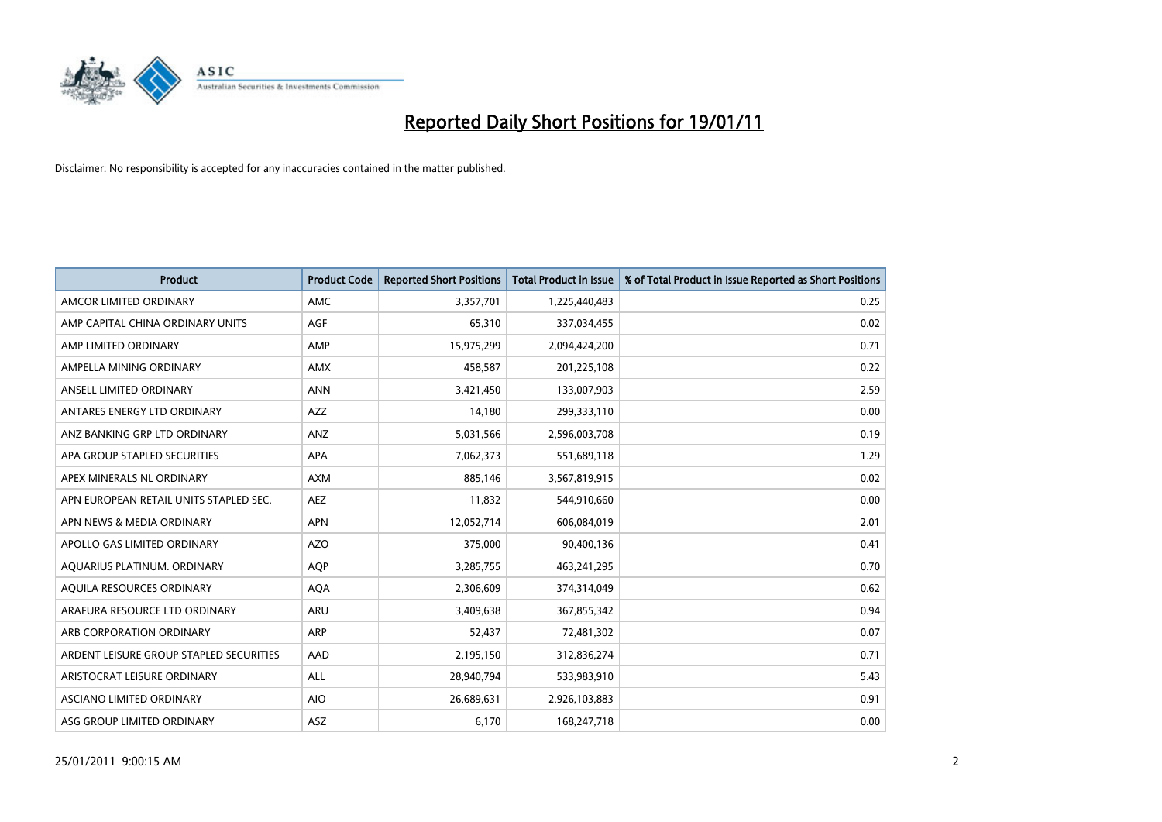

| <b>Product</b>                          | <b>Product Code</b> | <b>Reported Short Positions</b> | Total Product in Issue | % of Total Product in Issue Reported as Short Positions |
|-----------------------------------------|---------------------|---------------------------------|------------------------|---------------------------------------------------------|
| AMCOR LIMITED ORDINARY                  | <b>AMC</b>          | 3,357,701                       | 1,225,440,483          | 0.25                                                    |
| AMP CAPITAL CHINA ORDINARY UNITS        | AGF                 | 65,310                          | 337,034,455            | 0.02                                                    |
| AMP LIMITED ORDINARY                    | AMP                 | 15,975,299                      | 2,094,424,200          | 0.71                                                    |
| AMPELLA MINING ORDINARY                 | <b>AMX</b>          | 458,587                         | 201,225,108            | 0.22                                                    |
| ANSELL LIMITED ORDINARY                 | <b>ANN</b>          | 3,421,450                       | 133,007,903            | 2.59                                                    |
| ANTARES ENERGY LTD ORDINARY             | <b>AZZ</b>          | 14,180                          | 299,333,110            | 0.00                                                    |
| ANZ BANKING GRP LTD ORDINARY            | <b>ANZ</b>          | 5,031,566                       | 2,596,003,708          | 0.19                                                    |
| APA GROUP STAPLED SECURITIES            | <b>APA</b>          | 7,062,373                       | 551,689,118            | 1.29                                                    |
| APEX MINERALS NL ORDINARY               | <b>AXM</b>          | 885,146                         | 3,567,819,915          | 0.02                                                    |
| APN EUROPEAN RETAIL UNITS STAPLED SEC.  | <b>AEZ</b>          | 11,832                          | 544,910,660            | 0.00                                                    |
| APN NEWS & MEDIA ORDINARY               | <b>APN</b>          | 12,052,714                      | 606,084,019            | 2.01                                                    |
| APOLLO GAS LIMITED ORDINARY             | <b>AZO</b>          | 375,000                         | 90,400,136             | 0.41                                                    |
| AQUARIUS PLATINUM. ORDINARY             | <b>AOP</b>          | 3,285,755                       | 463,241,295            | 0.70                                                    |
| AOUILA RESOURCES ORDINARY               | <b>AQA</b>          | 2,306,609                       | 374,314,049            | 0.62                                                    |
| ARAFURA RESOURCE LTD ORDINARY           | <b>ARU</b>          | 3,409,638                       | 367,855,342            | 0.94                                                    |
| ARB CORPORATION ORDINARY                | <b>ARP</b>          | 52,437                          | 72,481,302             | 0.07                                                    |
| ARDENT LEISURE GROUP STAPLED SECURITIES | AAD                 | 2,195,150                       | 312,836,274            | 0.71                                                    |
| ARISTOCRAT LEISURE ORDINARY             | <b>ALL</b>          | 28,940,794                      | 533,983,910            | 5.43                                                    |
| <b>ASCIANO LIMITED ORDINARY</b>         | <b>AIO</b>          | 26,689,631                      | 2,926,103,883          | 0.91                                                    |
| ASG GROUP LIMITED ORDINARY              | <b>ASZ</b>          | 6,170                           | 168,247,718            | 0.00                                                    |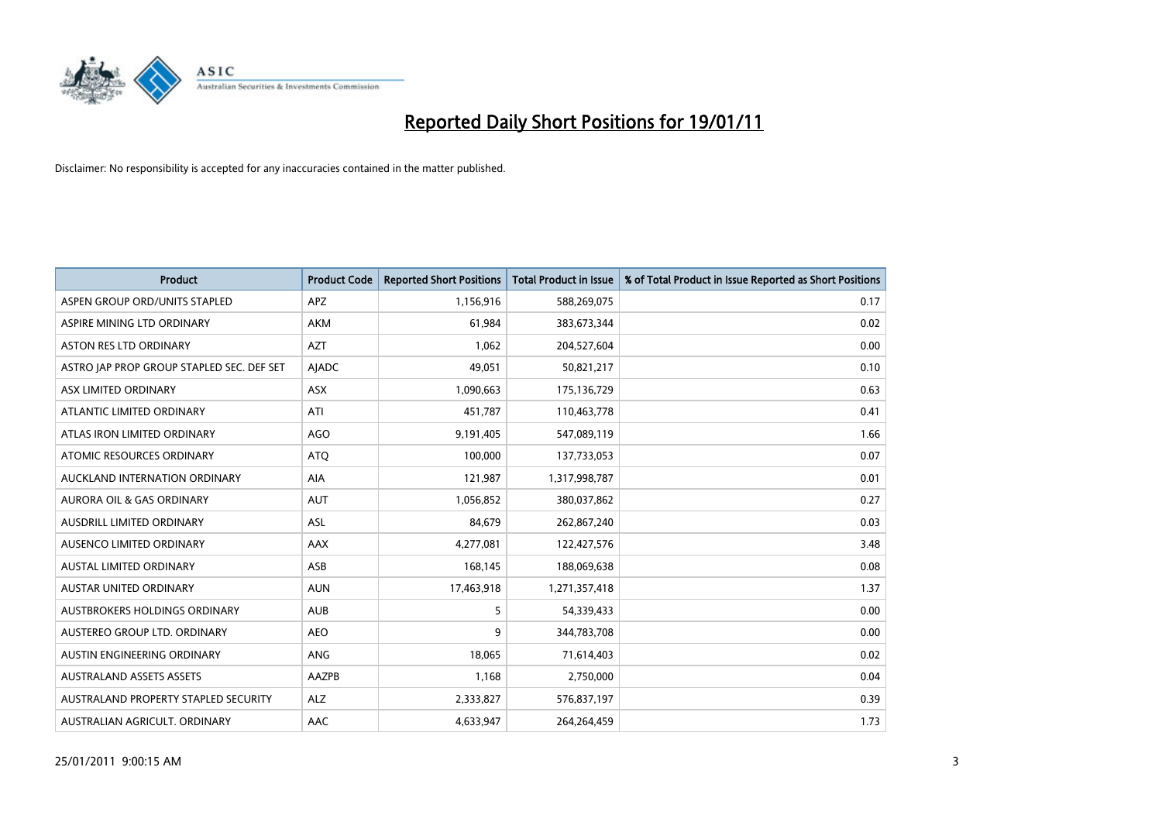

| <b>Product</b>                            | <b>Product Code</b> | <b>Reported Short Positions</b> | Total Product in Issue | % of Total Product in Issue Reported as Short Positions |
|-------------------------------------------|---------------------|---------------------------------|------------------------|---------------------------------------------------------|
| ASPEN GROUP ORD/UNITS STAPLED             | <b>APZ</b>          | 1,156,916                       | 588,269,075            | 0.17                                                    |
| ASPIRE MINING LTD ORDINARY                | <b>AKM</b>          | 61,984                          | 383,673,344            | 0.02                                                    |
| <b>ASTON RES LTD ORDINARY</b>             | <b>AZT</b>          | 1,062                           | 204,527,604            | 0.00                                                    |
| ASTRO JAP PROP GROUP STAPLED SEC. DEF SET | AJADC               | 49,051                          | 50,821,217             | 0.10                                                    |
| ASX LIMITED ORDINARY                      | ASX                 | 1,090,663                       | 175,136,729            | 0.63                                                    |
| ATLANTIC LIMITED ORDINARY                 | ATI                 | 451,787                         | 110,463,778            | 0.41                                                    |
| ATLAS IRON LIMITED ORDINARY               | <b>AGO</b>          | 9,191,405                       | 547,089,119            | 1.66                                                    |
| ATOMIC RESOURCES ORDINARY                 | <b>ATQ</b>          | 100,000                         | 137,733,053            | 0.07                                                    |
| AUCKLAND INTERNATION ORDINARY             | AIA                 | 121,987                         | 1,317,998,787          | 0.01                                                    |
| <b>AURORA OIL &amp; GAS ORDINARY</b>      | <b>AUT</b>          | 1,056,852                       | 380,037,862            | 0.27                                                    |
| AUSDRILL LIMITED ORDINARY                 | <b>ASL</b>          | 84,679                          | 262,867,240            | 0.03                                                    |
| AUSENCO LIMITED ORDINARY                  | <b>AAX</b>          | 4,277,081                       | 122,427,576            | 3.48                                                    |
| <b>AUSTAL LIMITED ORDINARY</b>            | ASB                 | 168,145                         | 188,069,638            | 0.08                                                    |
| AUSTAR UNITED ORDINARY                    | <b>AUN</b>          | 17,463,918                      | 1,271,357,418          | 1.37                                                    |
| AUSTBROKERS HOLDINGS ORDINARY             | <b>AUB</b>          | 5                               | 54,339,433             | 0.00                                                    |
| AUSTEREO GROUP LTD. ORDINARY              | <b>AEO</b>          | 9                               | 344,783,708            | 0.00                                                    |
| AUSTIN ENGINEERING ORDINARY               | <b>ANG</b>          | 18,065                          | 71,614,403             | 0.02                                                    |
| <b>AUSTRALAND ASSETS ASSETS</b>           | AAZPB               | 1,168                           | 2,750,000              | 0.04                                                    |
| AUSTRALAND PROPERTY STAPLED SECURITY      | <b>ALZ</b>          | 2,333,827                       | 576,837,197            | 0.39                                                    |
| AUSTRALIAN AGRICULT. ORDINARY             | AAC                 | 4,633,947                       | 264,264,459            | 1.73                                                    |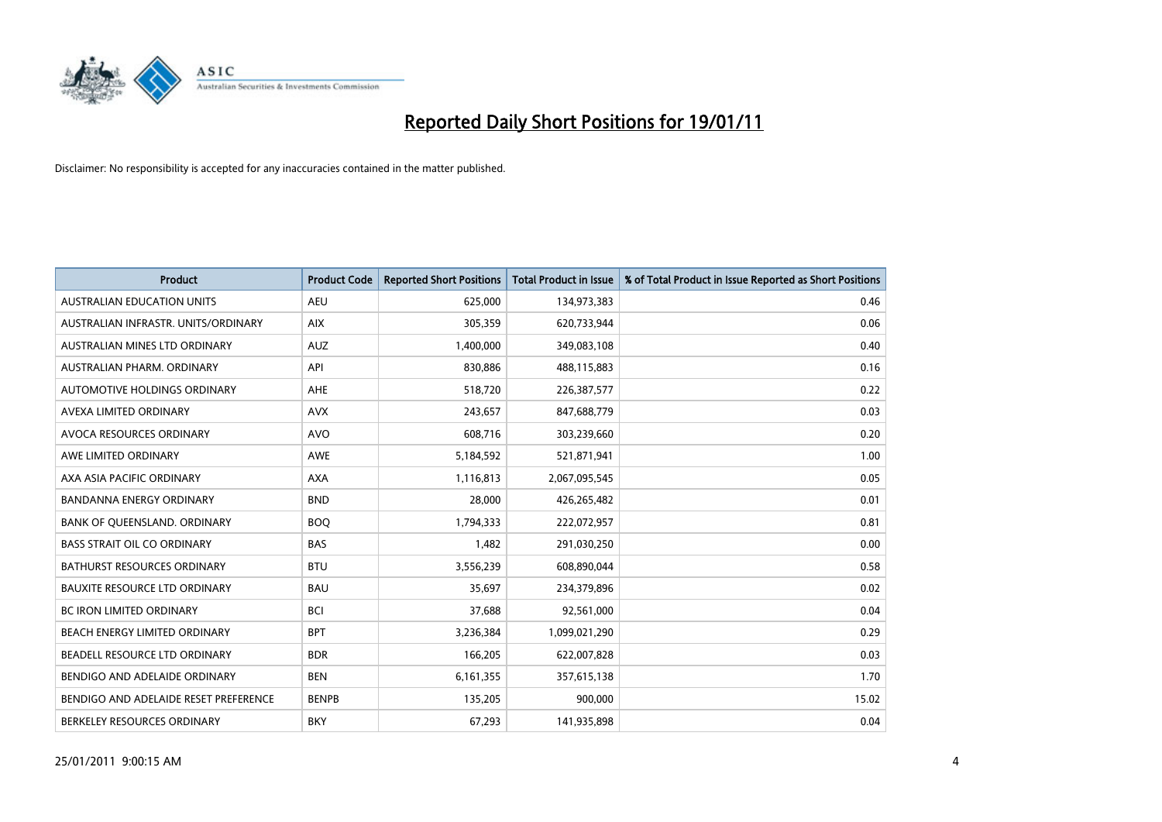

| <b>Product</b>                        | <b>Product Code</b> | <b>Reported Short Positions</b> | <b>Total Product in Issue</b> | % of Total Product in Issue Reported as Short Positions |
|---------------------------------------|---------------------|---------------------------------|-------------------------------|---------------------------------------------------------|
| <b>AUSTRALIAN EDUCATION UNITS</b>     | <b>AEU</b>          | 625,000                         | 134,973,383                   | 0.46                                                    |
| AUSTRALIAN INFRASTR. UNITS/ORDINARY   | <b>AIX</b>          | 305,359                         | 620,733,944                   | 0.06                                                    |
| AUSTRALIAN MINES LTD ORDINARY         | <b>AUZ</b>          | 1,400,000                       | 349,083,108                   | 0.40                                                    |
| AUSTRALIAN PHARM. ORDINARY            | API                 | 830,886                         | 488,115,883                   | 0.16                                                    |
| <b>AUTOMOTIVE HOLDINGS ORDINARY</b>   | <b>AHE</b>          | 518,720                         | 226,387,577                   | 0.22                                                    |
| AVEXA LIMITED ORDINARY                | <b>AVX</b>          | 243,657                         | 847,688,779                   | 0.03                                                    |
| AVOCA RESOURCES ORDINARY              | <b>AVO</b>          | 608,716                         | 303,239,660                   | 0.20                                                    |
| AWE LIMITED ORDINARY                  | <b>AWE</b>          | 5,184,592                       | 521,871,941                   | 1.00                                                    |
| AXA ASIA PACIFIC ORDINARY             | <b>AXA</b>          | 1,116,813                       | 2,067,095,545                 | 0.05                                                    |
| <b>BANDANNA ENERGY ORDINARY</b>       | <b>BND</b>          | 28,000                          | 426,265,482                   | 0.01                                                    |
| BANK OF QUEENSLAND. ORDINARY          | <b>BOO</b>          | 1,794,333                       | 222,072,957                   | 0.81                                                    |
| <b>BASS STRAIT OIL CO ORDINARY</b>    | <b>BAS</b>          | 1,482                           | 291,030,250                   | 0.00                                                    |
| BATHURST RESOURCES ORDINARY           | <b>BTU</b>          | 3,556,239                       | 608,890,044                   | 0.58                                                    |
| <b>BAUXITE RESOURCE LTD ORDINARY</b>  | <b>BAU</b>          | 35,697                          | 234,379,896                   | 0.02                                                    |
| <b>BC IRON LIMITED ORDINARY</b>       | <b>BCI</b>          | 37,688                          | 92,561,000                    | 0.04                                                    |
| BEACH ENERGY LIMITED ORDINARY         | <b>BPT</b>          | 3,236,384                       | 1,099,021,290                 | 0.29                                                    |
| BEADELL RESOURCE LTD ORDINARY         | <b>BDR</b>          | 166,205                         | 622,007,828                   | 0.03                                                    |
| BENDIGO AND ADELAIDE ORDINARY         | <b>BEN</b>          | 6,161,355                       | 357,615,138                   | 1.70                                                    |
| BENDIGO AND ADELAIDE RESET PREFERENCE | <b>BENPB</b>        | 135,205                         | 900,000                       | 15.02                                                   |
| BERKELEY RESOURCES ORDINARY           | <b>BKY</b>          | 67,293                          | 141,935,898                   | 0.04                                                    |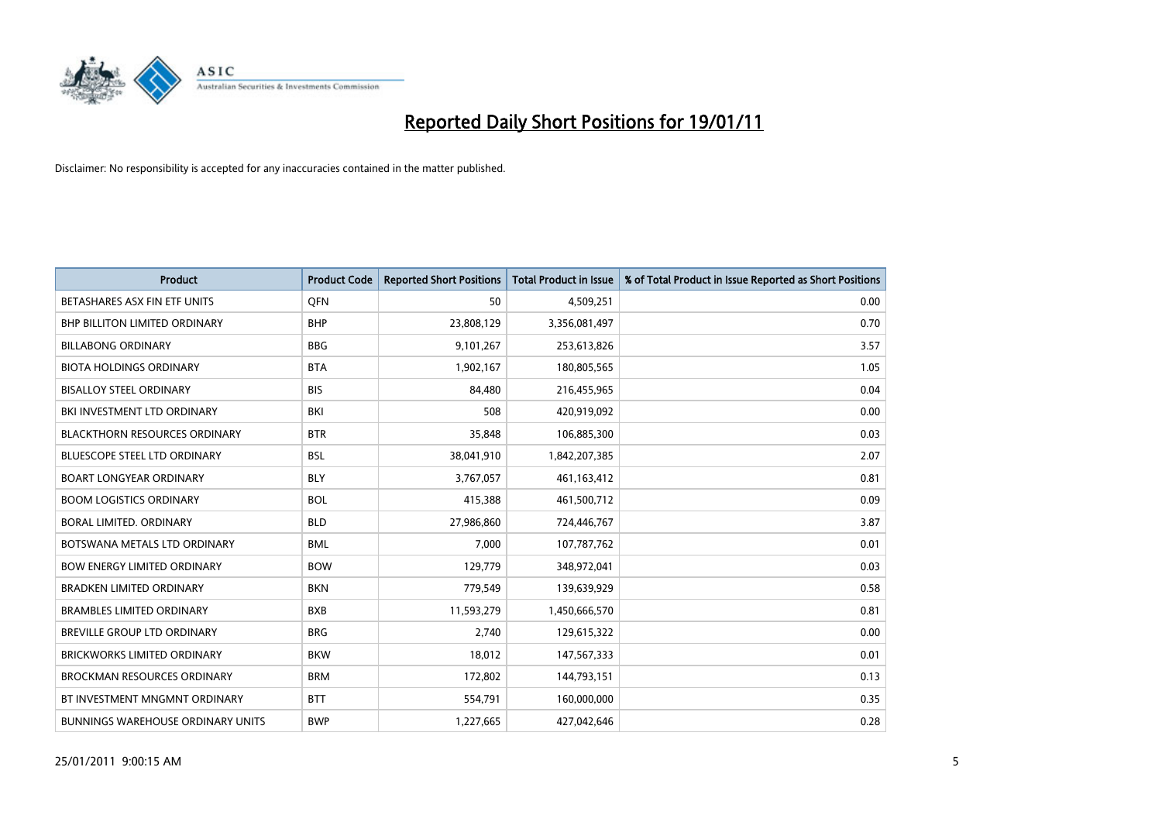

| <b>Product</b>                           | <b>Product Code</b> | <b>Reported Short Positions</b> | Total Product in Issue | % of Total Product in Issue Reported as Short Positions |
|------------------------------------------|---------------------|---------------------------------|------------------------|---------------------------------------------------------|
| BETASHARES ASX FIN ETF UNITS             | <b>OFN</b>          | 50                              | 4,509,251              | 0.00                                                    |
| BHP BILLITON LIMITED ORDINARY            | <b>BHP</b>          | 23,808,129                      | 3,356,081,497          | 0.70                                                    |
| <b>BILLABONG ORDINARY</b>                | <b>BBG</b>          | 9,101,267                       | 253,613,826            | 3.57                                                    |
| <b>BIOTA HOLDINGS ORDINARY</b>           | <b>BTA</b>          | 1,902,167                       | 180,805,565            | 1.05                                                    |
| <b>BISALLOY STEEL ORDINARY</b>           | <b>BIS</b>          | 84,480                          | 216,455,965            | 0.04                                                    |
| BKI INVESTMENT LTD ORDINARY              | BKI                 | 508                             | 420,919,092            | 0.00                                                    |
| <b>BLACKTHORN RESOURCES ORDINARY</b>     | <b>BTR</b>          | 35,848                          | 106,885,300            | 0.03                                                    |
| <b>BLUESCOPE STEEL LTD ORDINARY</b>      | <b>BSL</b>          | 38,041,910                      | 1,842,207,385          | 2.07                                                    |
| <b>BOART LONGYEAR ORDINARY</b>           | <b>BLY</b>          | 3,767,057                       | 461,163,412            | 0.81                                                    |
| <b>BOOM LOGISTICS ORDINARY</b>           | <b>BOL</b>          | 415,388                         | 461,500,712            | 0.09                                                    |
| BORAL LIMITED. ORDINARY                  | <b>BLD</b>          | 27,986,860                      | 724,446,767            | 3.87                                                    |
| BOTSWANA METALS LTD ORDINARY             | <b>BML</b>          | 7,000                           | 107,787,762            | 0.01                                                    |
| <b>BOW ENERGY LIMITED ORDINARY</b>       | <b>BOW</b>          | 129,779                         | 348,972,041            | 0.03                                                    |
| <b>BRADKEN LIMITED ORDINARY</b>          | <b>BKN</b>          | 779,549                         | 139,639,929            | 0.58                                                    |
| <b>BRAMBLES LIMITED ORDINARY</b>         | <b>BXB</b>          | 11,593,279                      | 1,450,666,570          | 0.81                                                    |
| <b>BREVILLE GROUP LTD ORDINARY</b>       | <b>BRG</b>          | 2.740                           | 129,615,322            | 0.00                                                    |
| <b>BRICKWORKS LIMITED ORDINARY</b>       | <b>BKW</b>          | 18,012                          | 147,567,333            | 0.01                                                    |
| <b>BROCKMAN RESOURCES ORDINARY</b>       | <b>BRM</b>          | 172,802                         | 144,793,151            | 0.13                                                    |
| BT INVESTMENT MNGMNT ORDINARY            | <b>BTT</b>          | 554,791                         | 160,000,000            | 0.35                                                    |
| <b>BUNNINGS WAREHOUSE ORDINARY UNITS</b> | <b>BWP</b>          | 1,227,665                       | 427,042,646            | 0.28                                                    |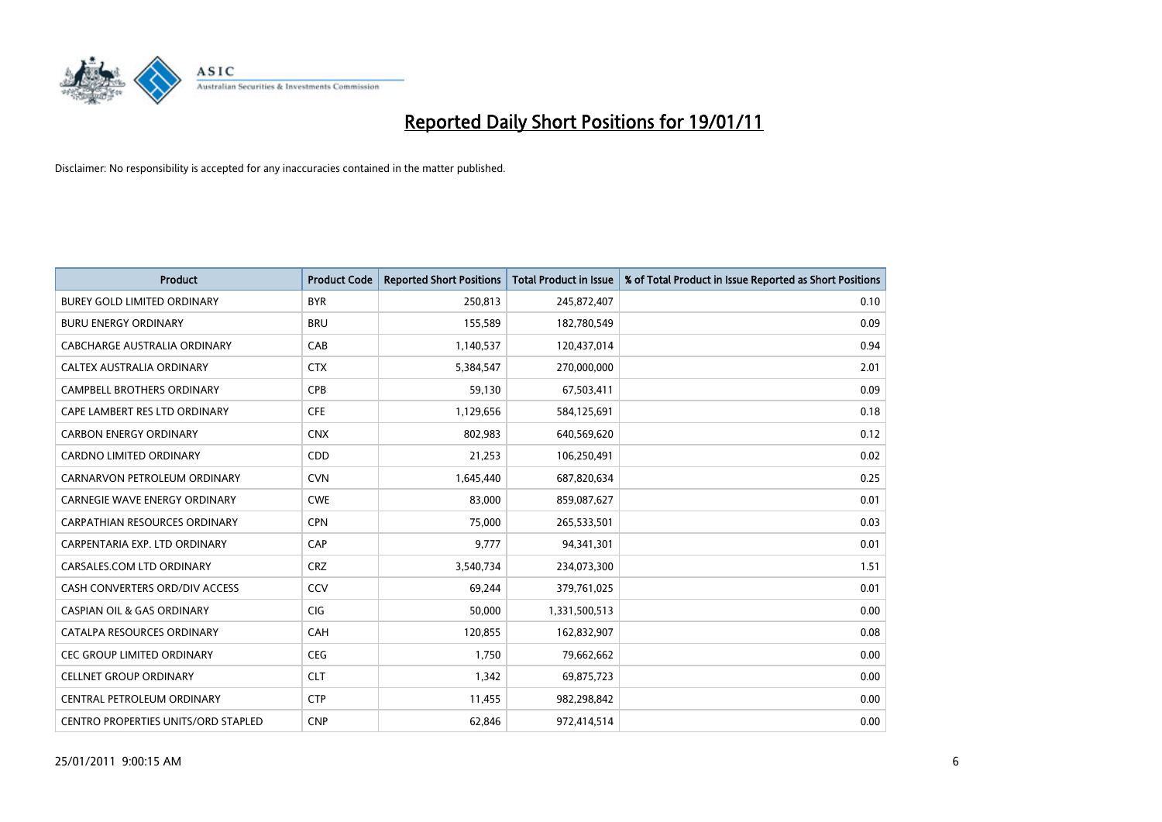

| <b>Product</b>                             | <b>Product Code</b> | <b>Reported Short Positions</b> | <b>Total Product in Issue</b> | % of Total Product in Issue Reported as Short Positions |
|--------------------------------------------|---------------------|---------------------------------|-------------------------------|---------------------------------------------------------|
| <b>BUREY GOLD LIMITED ORDINARY</b>         | <b>BYR</b>          | 250,813                         | 245,872,407                   | 0.10                                                    |
| <b>BURU ENERGY ORDINARY</b>                | <b>BRU</b>          | 155,589                         | 182,780,549                   | 0.09                                                    |
| CABCHARGE AUSTRALIA ORDINARY               | CAB                 | 1,140,537                       | 120,437,014                   | 0.94                                                    |
| CALTEX AUSTRALIA ORDINARY                  | <b>CTX</b>          | 5,384,547                       | 270,000,000                   | 2.01                                                    |
| <b>CAMPBELL BROTHERS ORDINARY</b>          | CPB                 | 59,130                          | 67,503,411                    | 0.09                                                    |
| CAPE LAMBERT RES LTD ORDINARY              | <b>CFE</b>          | 1,129,656                       | 584,125,691                   | 0.18                                                    |
| <b>CARBON ENERGY ORDINARY</b>              | <b>CNX</b>          | 802.983                         | 640,569,620                   | 0.12                                                    |
| CARDNO LIMITED ORDINARY                    | CDD                 | 21,253                          | 106,250,491                   | 0.02                                                    |
| CARNARVON PETROLEUM ORDINARY               | <b>CVN</b>          | 1,645,440                       | 687,820,634                   | 0.25                                                    |
| <b>CARNEGIE WAVE ENERGY ORDINARY</b>       | <b>CWE</b>          | 83,000                          | 859,087,627                   | 0.01                                                    |
| CARPATHIAN RESOURCES ORDINARY              | <b>CPN</b>          | 75,000                          | 265,533,501                   | 0.03                                                    |
| CARPENTARIA EXP. LTD ORDINARY              | CAP                 | 9.777                           | 94,341,301                    | 0.01                                                    |
| CARSALES.COM LTD ORDINARY                  | <b>CRZ</b>          | 3,540,734                       | 234,073,300                   | 1.51                                                    |
| CASH CONVERTERS ORD/DIV ACCESS             | CCV                 | 69,244                          | 379,761,025                   | 0.01                                                    |
| <b>CASPIAN OIL &amp; GAS ORDINARY</b>      | <b>CIG</b>          | 50,000                          | 1,331,500,513                 | 0.00                                                    |
| CATALPA RESOURCES ORDINARY                 | CAH                 | 120,855                         | 162,832,907                   | 0.08                                                    |
| CEC GROUP LIMITED ORDINARY                 | <b>CEG</b>          | 1,750                           | 79,662,662                    | 0.00                                                    |
| <b>CELLNET GROUP ORDINARY</b>              | <b>CLT</b>          | 1,342                           | 69,875,723                    | 0.00                                                    |
| CENTRAL PETROLEUM ORDINARY                 | <b>CTP</b>          | 11,455                          | 982,298,842                   | 0.00                                                    |
| <b>CENTRO PROPERTIES UNITS/ORD STAPLED</b> | <b>CNP</b>          | 62,846                          | 972,414,514                   | 0.00                                                    |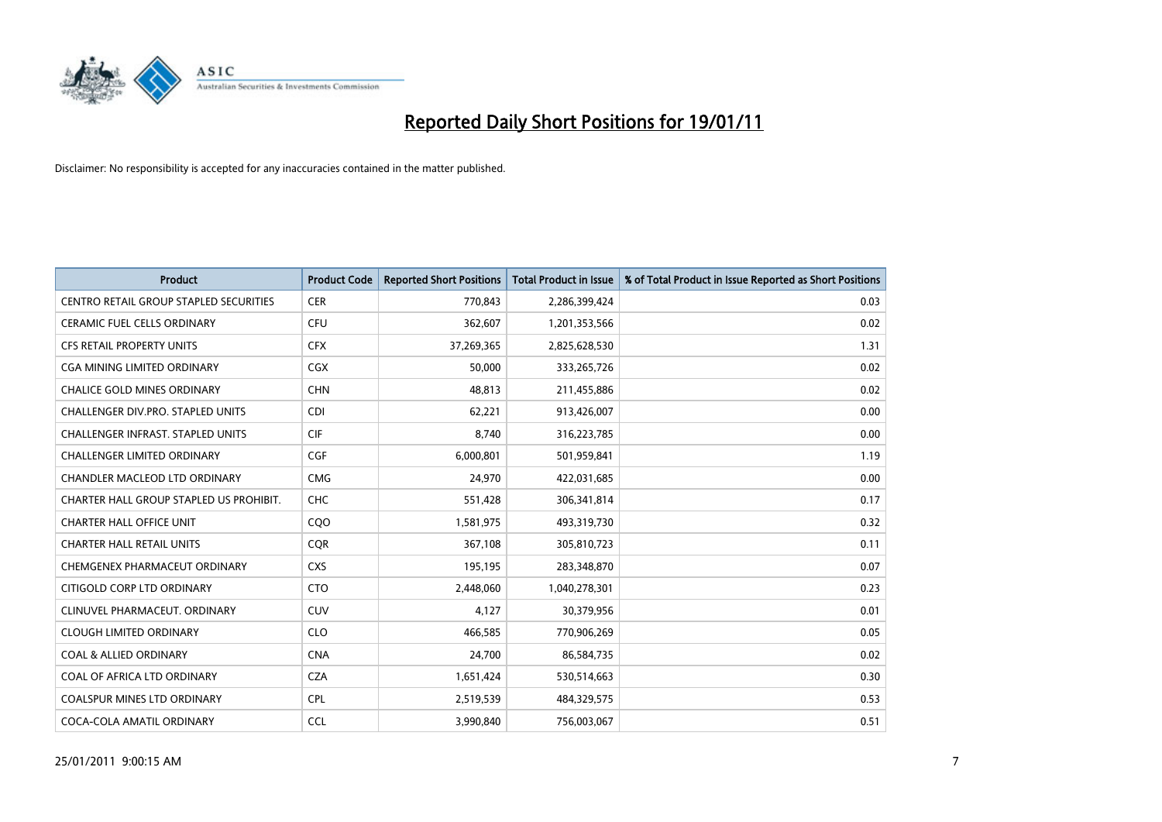

| <b>Product</b>                                | <b>Product Code</b> | <b>Reported Short Positions</b> | <b>Total Product in Issue</b> | % of Total Product in Issue Reported as Short Positions |
|-----------------------------------------------|---------------------|---------------------------------|-------------------------------|---------------------------------------------------------|
| <b>CENTRO RETAIL GROUP STAPLED SECURITIES</b> | <b>CER</b>          | 770,843                         | 2,286,399,424                 | 0.03                                                    |
| <b>CERAMIC FUEL CELLS ORDINARY</b>            | <b>CFU</b>          | 362,607                         | 1,201,353,566                 | 0.02                                                    |
| <b>CFS RETAIL PROPERTY UNITS</b>              | <b>CFX</b>          | 37,269,365                      | 2,825,628,530                 | 1.31                                                    |
| CGA MINING LIMITED ORDINARY                   | CGX                 | 50,000                          | 333,265,726                   | 0.02                                                    |
| <b>CHALICE GOLD MINES ORDINARY</b>            | <b>CHN</b>          | 48.813                          | 211,455,886                   | 0.02                                                    |
| <b>CHALLENGER DIV.PRO. STAPLED UNITS</b>      | <b>CDI</b>          | 62,221                          | 913,426,007                   | 0.00                                                    |
| <b>CHALLENGER INFRAST, STAPLED UNITS</b>      | <b>CIF</b>          | 8.740                           | 316,223,785                   | 0.00                                                    |
| <b>CHALLENGER LIMITED ORDINARY</b>            | <b>CGF</b>          | 6,000,801                       | 501,959,841                   | 1.19                                                    |
| CHANDLER MACLEOD LTD ORDINARY                 | <b>CMG</b>          | 24,970                          | 422,031,685                   | 0.00                                                    |
| CHARTER HALL GROUP STAPLED US PROHIBIT.       | <b>CHC</b>          | 551,428                         | 306,341,814                   | 0.17                                                    |
| <b>CHARTER HALL OFFICE UNIT</b>               | COO                 | 1,581,975                       | 493,319,730                   | 0.32                                                    |
| <b>CHARTER HALL RETAIL UNITS</b>              | <b>CQR</b>          | 367,108                         | 305,810,723                   | 0.11                                                    |
| CHEMGENEX PHARMACEUT ORDINARY                 | <b>CXS</b>          | 195,195                         | 283,348,870                   | 0.07                                                    |
| CITIGOLD CORP LTD ORDINARY                    | <b>CTO</b>          | 2,448,060                       | 1,040,278,301                 | 0.23                                                    |
| CLINUVEL PHARMACEUT, ORDINARY                 | <b>CUV</b>          | 4,127                           | 30,379,956                    | 0.01                                                    |
| <b>CLOUGH LIMITED ORDINARY</b>                | <b>CLO</b>          | 466,585                         | 770,906,269                   | 0.05                                                    |
| <b>COAL &amp; ALLIED ORDINARY</b>             | <b>CNA</b>          | 24,700                          | 86,584,735                    | 0.02                                                    |
| COAL OF AFRICA LTD ORDINARY                   | <b>CZA</b>          | 1,651,424                       | 530,514,663                   | 0.30                                                    |
| <b>COALSPUR MINES LTD ORDINARY</b>            | <b>CPL</b>          | 2,519,539                       | 484,329,575                   | 0.53                                                    |
| COCA-COLA AMATIL ORDINARY                     | <b>CCL</b>          | 3.990.840                       | 756,003,067                   | 0.51                                                    |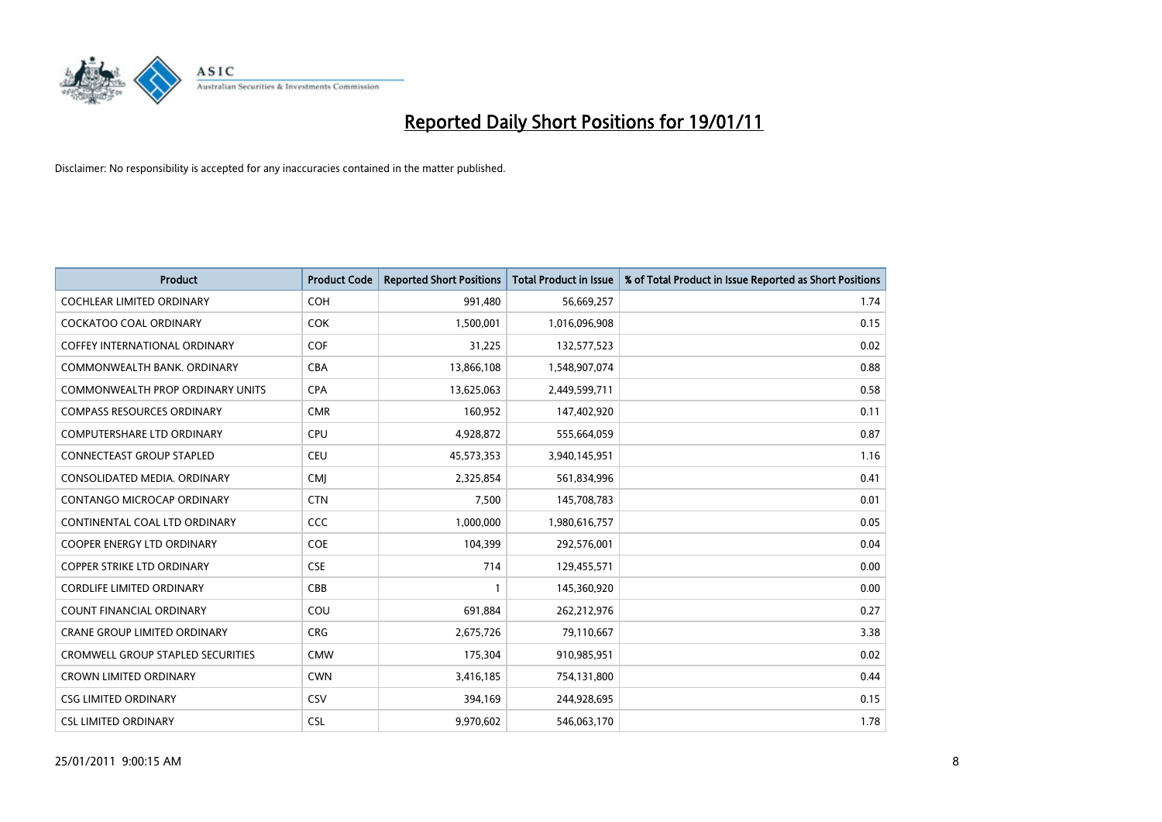

| <b>Product</b>                           | <b>Product Code</b> | <b>Reported Short Positions</b> | Total Product in Issue | % of Total Product in Issue Reported as Short Positions |
|------------------------------------------|---------------------|---------------------------------|------------------------|---------------------------------------------------------|
| <b>COCHLEAR LIMITED ORDINARY</b>         | <b>COH</b>          | 991,480                         | 56,669,257             | 1.74                                                    |
| COCKATOO COAL ORDINARY                   | <b>COK</b>          | 1,500,001                       | 1,016,096,908          | 0.15                                                    |
| <b>COFFEY INTERNATIONAL ORDINARY</b>     | <b>COF</b>          | 31,225                          | 132,577,523            | 0.02                                                    |
| COMMONWEALTH BANK, ORDINARY              | <b>CBA</b>          | 13,866,108                      | 1,548,907,074          | 0.88                                                    |
| <b>COMMONWEALTH PROP ORDINARY UNITS</b>  | <b>CPA</b>          | 13,625,063                      | 2,449,599,711          | 0.58                                                    |
| <b>COMPASS RESOURCES ORDINARY</b>        | <b>CMR</b>          | 160,952                         | 147,402,920            | 0.11                                                    |
| <b>COMPUTERSHARE LTD ORDINARY</b>        | <b>CPU</b>          | 4,928,872                       | 555,664,059            | 0.87                                                    |
| CONNECTEAST GROUP STAPLED                | <b>CEU</b>          | 45,573,353                      | 3,940,145,951          | 1.16                                                    |
| CONSOLIDATED MEDIA. ORDINARY             | <b>CMI</b>          | 2,325,854                       | 561,834,996            | 0.41                                                    |
| CONTANGO MICROCAP ORDINARY               | <b>CTN</b>          | 7,500                           | 145,708,783            | 0.01                                                    |
| CONTINENTAL COAL LTD ORDINARY            | <b>CCC</b>          | 1,000,000                       | 1,980,616,757          | 0.05                                                    |
| <b>COOPER ENERGY LTD ORDINARY</b>        | <b>COE</b>          | 104,399                         | 292,576,001            | 0.04                                                    |
| <b>COPPER STRIKE LTD ORDINARY</b>        | <b>CSE</b>          | 714                             | 129,455,571            | 0.00                                                    |
| <b>CORDLIFE LIMITED ORDINARY</b>         | CBB                 |                                 | 145,360,920            | 0.00                                                    |
| <b>COUNT FINANCIAL ORDINARY</b>          | COU                 | 691,884                         | 262,212,976            | 0.27                                                    |
| <b>CRANE GROUP LIMITED ORDINARY</b>      | <b>CRG</b>          | 2,675,726                       | 79,110,667             | 3.38                                                    |
| <b>CROMWELL GROUP STAPLED SECURITIES</b> | <b>CMW</b>          | 175,304                         | 910,985,951            | 0.02                                                    |
| <b>CROWN LIMITED ORDINARY</b>            | <b>CWN</b>          | 3,416,185                       | 754,131,800            | 0.44                                                    |
| <b>CSG LIMITED ORDINARY</b>              | CSV                 | 394,169                         | 244,928,695            | 0.15                                                    |
| <b>CSL LIMITED ORDINARY</b>              | <b>CSL</b>          | 9,970,602                       | 546,063,170            | 1.78                                                    |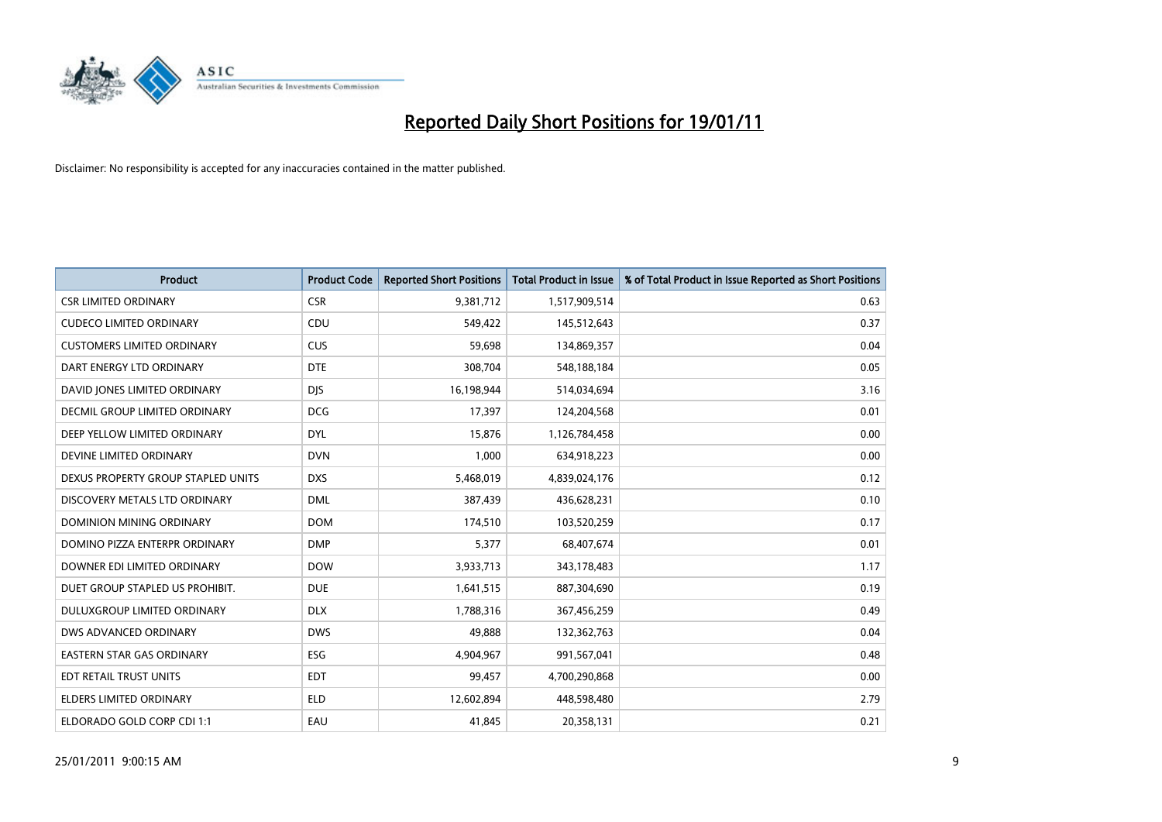

| <b>Product</b>                     | <b>Product Code</b> | <b>Reported Short Positions</b> | <b>Total Product in Issue</b> | % of Total Product in Issue Reported as Short Positions |
|------------------------------------|---------------------|---------------------------------|-------------------------------|---------------------------------------------------------|
| <b>CSR LIMITED ORDINARY</b>        | <b>CSR</b>          | 9,381,712                       | 1,517,909,514                 | 0.63                                                    |
| <b>CUDECO LIMITED ORDINARY</b>     | CDU                 | 549,422                         | 145,512,643                   | 0.37                                                    |
| <b>CUSTOMERS LIMITED ORDINARY</b>  | <b>CUS</b>          | 59,698                          | 134,869,357                   | 0.04                                                    |
| DART ENERGY LTD ORDINARY           | <b>DTE</b>          | 308,704                         | 548,188,184                   | 0.05                                                    |
| DAVID JONES LIMITED ORDINARY       | <b>DIS</b>          | 16,198,944                      | 514,034,694                   | 3.16                                                    |
| DECMIL GROUP LIMITED ORDINARY      | <b>DCG</b>          | 17,397                          | 124,204,568                   | 0.01                                                    |
| DEEP YELLOW LIMITED ORDINARY       | <b>DYL</b>          | 15,876                          | 1,126,784,458                 | 0.00                                                    |
| DEVINE LIMITED ORDINARY            | <b>DVN</b>          | 1,000                           | 634,918,223                   | 0.00                                                    |
| DEXUS PROPERTY GROUP STAPLED UNITS | <b>DXS</b>          | 5,468,019                       | 4,839,024,176                 | 0.12                                                    |
| DISCOVERY METALS LTD ORDINARY      | <b>DML</b>          | 387,439                         | 436,628,231                   | 0.10                                                    |
| DOMINION MINING ORDINARY           | <b>DOM</b>          | 174,510                         | 103,520,259                   | 0.17                                                    |
| DOMINO PIZZA ENTERPR ORDINARY      | <b>DMP</b>          | 5,377                           | 68,407,674                    | 0.01                                                    |
| DOWNER EDI LIMITED ORDINARY        | <b>DOW</b>          | 3,933,713                       | 343,178,483                   | 1.17                                                    |
| DUET GROUP STAPLED US PROHIBIT.    | <b>DUE</b>          | 1,641,515                       | 887,304,690                   | 0.19                                                    |
| DULUXGROUP LIMITED ORDINARY        | <b>DLX</b>          | 1,788,316                       | 367,456,259                   | 0.49                                                    |
| <b>DWS ADVANCED ORDINARY</b>       | <b>DWS</b>          | 49,888                          | 132,362,763                   | 0.04                                                    |
| <b>EASTERN STAR GAS ORDINARY</b>   | ESG                 | 4,904,967                       | 991,567,041                   | 0.48                                                    |
| EDT RETAIL TRUST UNITS             | <b>EDT</b>          | 99,457                          | 4,700,290,868                 | 0.00                                                    |
| <b>ELDERS LIMITED ORDINARY</b>     | <b>ELD</b>          | 12,602,894                      | 448,598,480                   | 2.79                                                    |
| ELDORADO GOLD CORP CDI 1:1         | EAU                 | 41,845                          | 20,358,131                    | 0.21                                                    |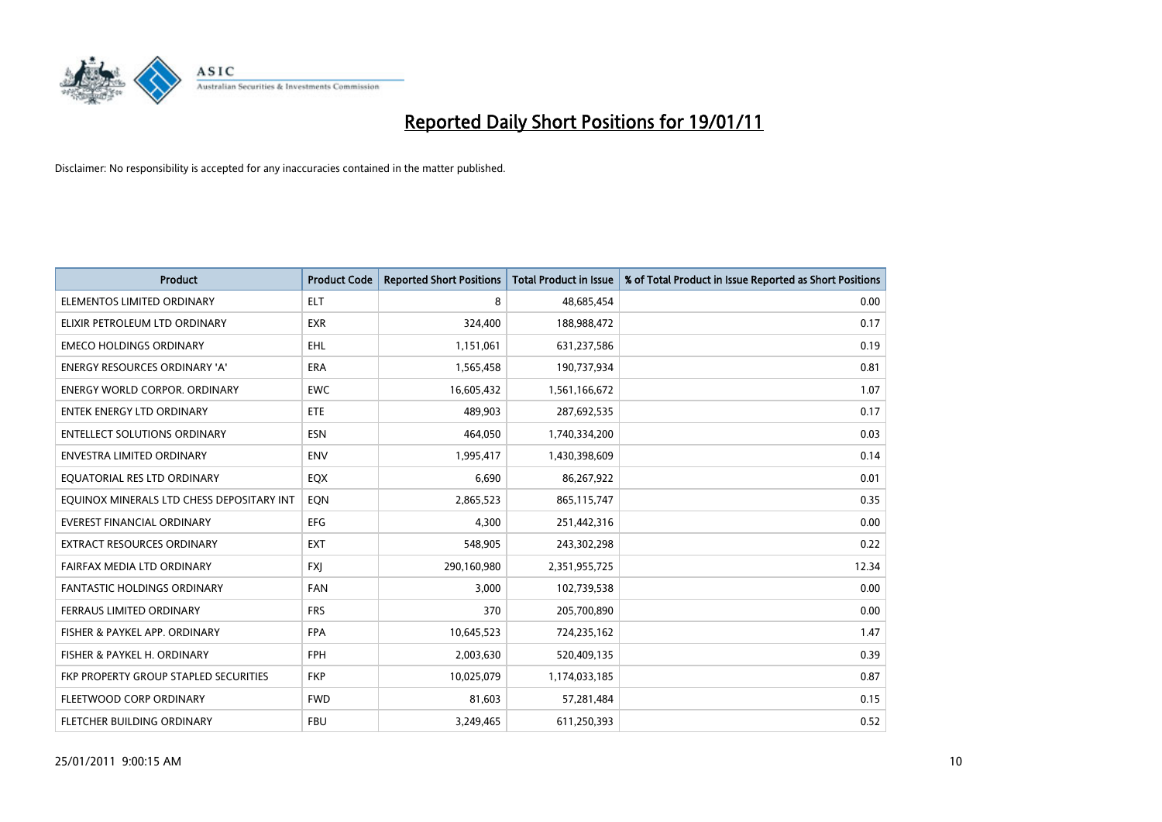

| <b>Product</b>                               | <b>Product Code</b> | <b>Reported Short Positions</b> | <b>Total Product in Issue</b> | % of Total Product in Issue Reported as Short Positions |
|----------------------------------------------|---------------------|---------------------------------|-------------------------------|---------------------------------------------------------|
| ELEMENTOS LIMITED ORDINARY                   | <b>ELT</b>          | 8                               | 48,685,454                    | 0.00                                                    |
| ELIXIR PETROLEUM LTD ORDINARY                | <b>EXR</b>          | 324,400                         | 188,988,472                   | 0.17                                                    |
| <b>EMECO HOLDINGS ORDINARY</b>               | <b>EHL</b>          | 1,151,061                       | 631,237,586                   | 0.19                                                    |
| ENERGY RESOURCES ORDINARY 'A'                | <b>ERA</b>          | 1,565,458                       | 190,737,934                   | 0.81                                                    |
| <b>ENERGY WORLD CORPOR, ORDINARY</b>         | <b>EWC</b>          | 16,605,432                      | 1,561,166,672                 | 1.07                                                    |
| <b>ENTEK ENERGY LTD ORDINARY</b>             | <b>ETE</b>          | 489,903                         | 287,692,535                   | 0.17                                                    |
| <b>ENTELLECT SOLUTIONS ORDINARY</b>          | <b>ESN</b>          | 464,050                         | 1,740,334,200                 | 0.03                                                    |
| ENVESTRA LIMITED ORDINARY                    | <b>ENV</b>          | 1,995,417                       | 1,430,398,609                 | 0.14                                                    |
| EQUATORIAL RES LTD ORDINARY                  | EQX                 | 6,690                           | 86,267,922                    | 0.01                                                    |
| EQUINOX MINERALS LTD CHESS DEPOSITARY INT    | EON                 | 2,865,523                       | 865, 115, 747                 | 0.35                                                    |
| EVEREST FINANCIAL ORDINARY                   | <b>EFG</b>          | 4,300                           | 251,442,316                   | 0.00                                                    |
| <b>EXTRACT RESOURCES ORDINARY</b>            | <b>EXT</b>          | 548,905                         | 243,302,298                   | 0.22                                                    |
| FAIRFAX MEDIA LTD ORDINARY                   | <b>FXI</b>          | 290,160,980                     | 2,351,955,725                 | 12.34                                                   |
| <b>FANTASTIC HOLDINGS ORDINARY</b>           | <b>FAN</b>          | 3,000                           | 102,739,538                   | 0.00                                                    |
| FERRAUS LIMITED ORDINARY                     | <b>FRS</b>          | 370                             | 205,700,890                   | 0.00                                                    |
| FISHER & PAYKEL APP. ORDINARY                | <b>FPA</b>          | 10,645,523                      | 724,235,162                   | 1.47                                                    |
| FISHER & PAYKEL H. ORDINARY                  | FPH                 | 2,003,630                       | 520,409,135                   | 0.39                                                    |
| <b>FKP PROPERTY GROUP STAPLED SECURITIES</b> | <b>FKP</b>          | 10,025,079                      | 1,174,033,185                 | 0.87                                                    |
| FLEETWOOD CORP ORDINARY                      | <b>FWD</b>          | 81,603                          | 57,281,484                    | 0.15                                                    |
| FLETCHER BUILDING ORDINARY                   | <b>FBU</b>          | 3,249,465                       | 611,250,393                   | 0.52                                                    |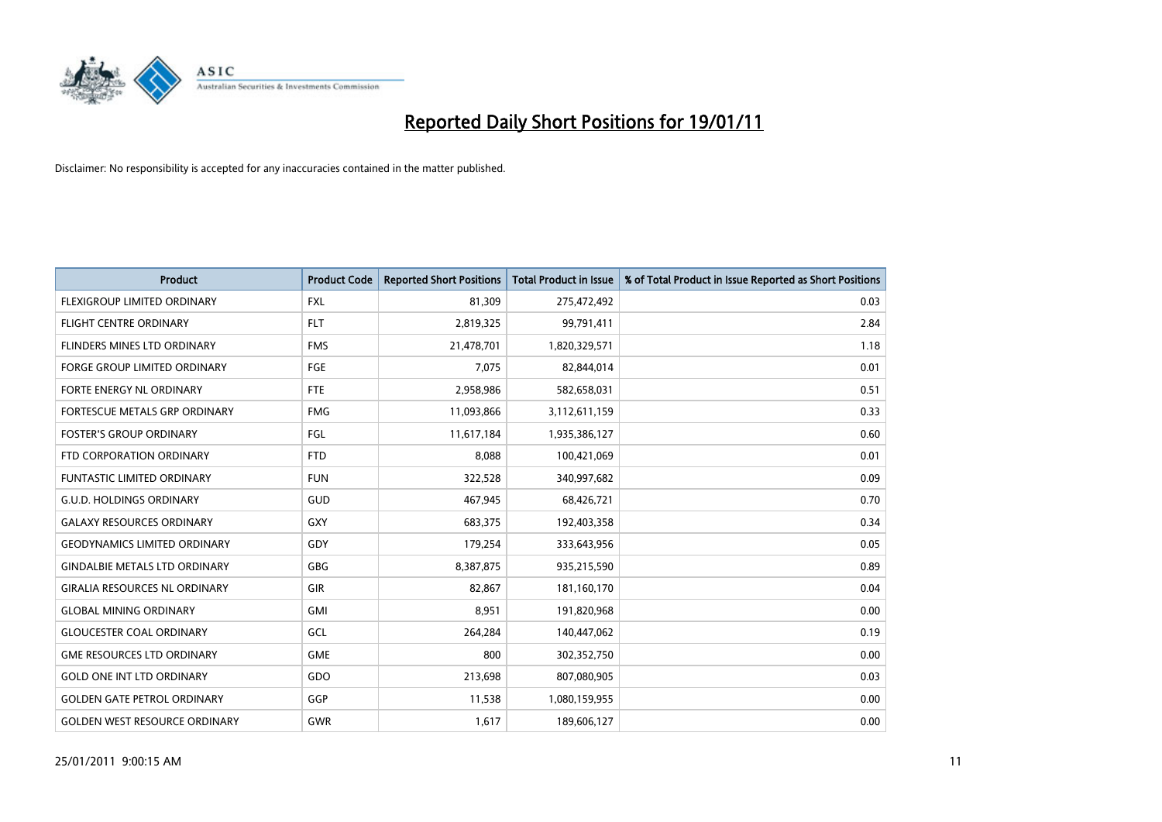

| <b>Product</b>                       | <b>Product Code</b> | <b>Reported Short Positions</b> | <b>Total Product in Issue</b> | % of Total Product in Issue Reported as Short Positions |
|--------------------------------------|---------------------|---------------------------------|-------------------------------|---------------------------------------------------------|
| FLEXIGROUP LIMITED ORDINARY          | <b>FXL</b>          | 81,309                          | 275,472,492                   | 0.03                                                    |
| <b>FLIGHT CENTRE ORDINARY</b>        | <b>FLT</b>          | 2,819,325                       | 99,791,411                    | 2.84                                                    |
| FLINDERS MINES LTD ORDINARY          | <b>FMS</b>          | 21,478,701                      | 1,820,329,571                 | 1.18                                                    |
| FORGE GROUP LIMITED ORDINARY         | FGE                 | 7,075                           | 82,844,014                    | 0.01                                                    |
| FORTE ENERGY NL ORDINARY             | FTE                 | 2,958,986                       | 582,658,031                   | 0.51                                                    |
| FORTESCUE METALS GRP ORDINARY        | <b>FMG</b>          | 11,093,866                      | 3,112,611,159                 | 0.33                                                    |
| <b>FOSTER'S GROUP ORDINARY</b>       | FGL                 | 11,617,184                      | 1,935,386,127                 | 0.60                                                    |
| FTD CORPORATION ORDINARY             | <b>FTD</b>          | 8,088                           | 100,421,069                   | 0.01                                                    |
| <b>FUNTASTIC LIMITED ORDINARY</b>    | <b>FUN</b>          | 322,528                         | 340,997,682                   | 0.09                                                    |
| <b>G.U.D. HOLDINGS ORDINARY</b>      | <b>GUD</b>          | 467,945                         | 68,426,721                    | 0.70                                                    |
| <b>GALAXY RESOURCES ORDINARY</b>     | GXY                 | 683,375                         | 192,403,358                   | 0.34                                                    |
| <b>GEODYNAMICS LIMITED ORDINARY</b>  | GDY                 | 179,254                         | 333,643,956                   | 0.05                                                    |
| <b>GINDALBIE METALS LTD ORDINARY</b> | <b>GBG</b>          | 8,387,875                       | 935,215,590                   | 0.89                                                    |
| <b>GIRALIA RESOURCES NL ORDINARY</b> | GIR                 | 82,867                          | 181,160,170                   | 0.04                                                    |
| <b>GLOBAL MINING ORDINARY</b>        | <b>GMI</b>          | 8,951                           | 191,820,968                   | 0.00                                                    |
| <b>GLOUCESTER COAL ORDINARY</b>      | GCL                 | 264,284                         | 140,447,062                   | 0.19                                                    |
| <b>GME RESOURCES LTD ORDINARY</b>    | GME                 | 800                             | 302,352,750                   | 0.00                                                    |
| <b>GOLD ONE INT LTD ORDINARY</b>     | GDO                 | 213,698                         | 807,080,905                   | 0.03                                                    |
| <b>GOLDEN GATE PETROL ORDINARY</b>   | GGP                 | 11,538                          | 1,080,159,955                 | 0.00                                                    |
| <b>GOLDEN WEST RESOURCE ORDINARY</b> | GWR                 | 1,617                           | 189,606,127                   | 0.00                                                    |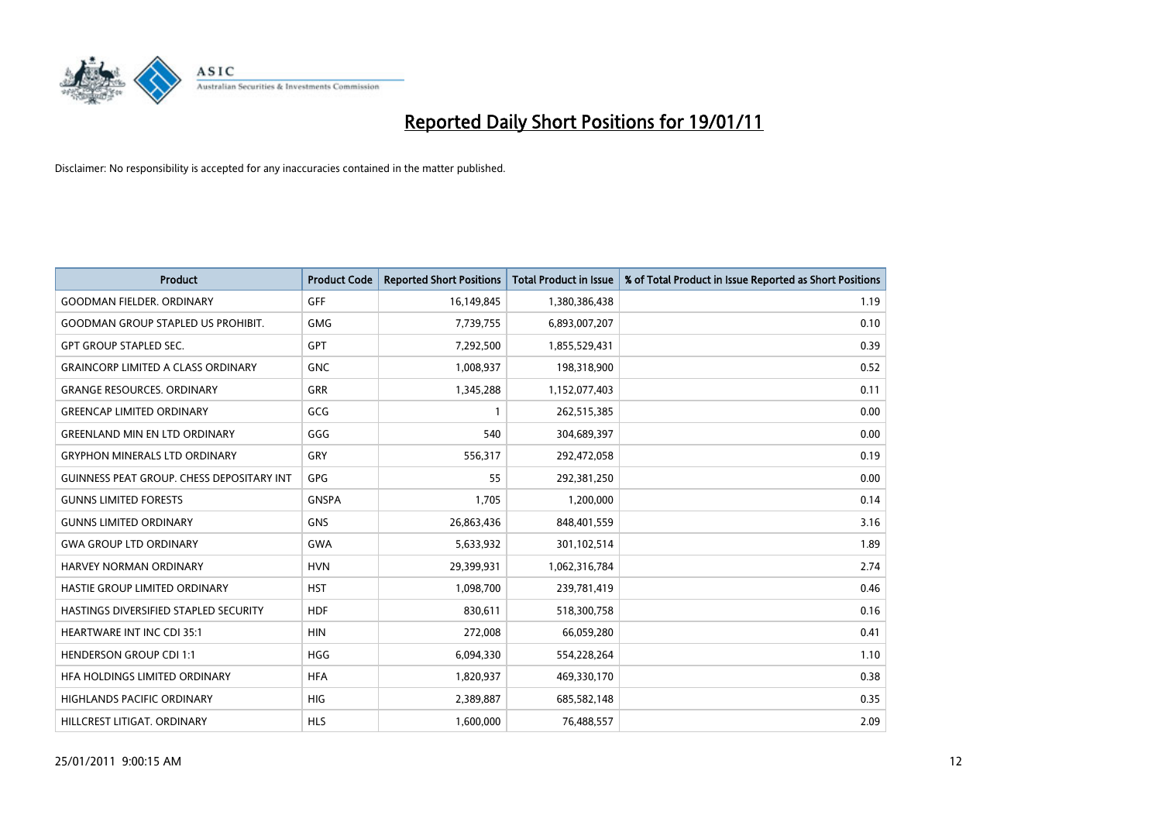

| <b>Product</b>                                   | <b>Product Code</b> | <b>Reported Short Positions</b> | Total Product in Issue | % of Total Product in Issue Reported as Short Positions |
|--------------------------------------------------|---------------------|---------------------------------|------------------------|---------------------------------------------------------|
| <b>GOODMAN FIELDER, ORDINARY</b>                 | <b>GFF</b>          | 16,149,845                      | 1,380,386,438          | 1.19                                                    |
| <b>GOODMAN GROUP STAPLED US PROHIBIT.</b>        | <b>GMG</b>          | 7,739,755                       | 6,893,007,207          | 0.10                                                    |
| <b>GPT GROUP STAPLED SEC.</b>                    | <b>GPT</b>          | 7,292,500                       | 1,855,529,431          | 0.39                                                    |
| <b>GRAINCORP LIMITED A CLASS ORDINARY</b>        | <b>GNC</b>          | 1,008,937                       | 198,318,900            | 0.52                                                    |
| <b>GRANGE RESOURCES, ORDINARY</b>                | <b>GRR</b>          | 1,345,288                       | 1,152,077,403          | 0.11                                                    |
| <b>GREENCAP LIMITED ORDINARY</b>                 | GCG                 |                                 | 262,515,385            | 0.00                                                    |
| <b>GREENLAND MIN EN LTD ORDINARY</b>             | GGG                 | 540                             | 304,689,397            | 0.00                                                    |
| <b>GRYPHON MINERALS LTD ORDINARY</b>             | GRY                 | 556,317                         | 292,472,058            | 0.19                                                    |
| <b>GUINNESS PEAT GROUP. CHESS DEPOSITARY INT</b> | <b>GPG</b>          | 55                              | 292,381,250            | 0.00                                                    |
| <b>GUNNS LIMITED FORESTS</b>                     | <b>GNSPA</b>        | 1.705                           | 1,200,000              | 0.14                                                    |
| <b>GUNNS LIMITED ORDINARY</b>                    | <b>GNS</b>          | 26,863,436                      | 848,401,559            | 3.16                                                    |
| <b>GWA GROUP LTD ORDINARY</b>                    | <b>GWA</b>          | 5,633,932                       | 301,102,514            | 1.89                                                    |
| HARVEY NORMAN ORDINARY                           | <b>HVN</b>          | 29,399,931                      | 1,062,316,784          | 2.74                                                    |
| HASTIE GROUP LIMITED ORDINARY                    | <b>HST</b>          | 1,098,700                       | 239,781,419            | 0.46                                                    |
| HASTINGS DIVERSIFIED STAPLED SECURITY            | <b>HDF</b>          | 830,611                         | 518,300,758            | 0.16                                                    |
| <b>HEARTWARE INT INC CDI 35:1</b>                | <b>HIN</b>          | 272,008                         | 66,059,280             | 0.41                                                    |
| <b>HENDERSON GROUP CDI 1:1</b>                   | <b>HGG</b>          | 6,094,330                       | 554,228,264            | 1.10                                                    |
| HFA HOLDINGS LIMITED ORDINARY                    | <b>HFA</b>          | 1,820,937                       | 469,330,170            | 0.38                                                    |
| <b>HIGHLANDS PACIFIC ORDINARY</b>                | <b>HIG</b>          | 2,389,887                       | 685,582,148            | 0.35                                                    |
| HILLCREST LITIGAT, ORDINARY                      | <b>HLS</b>          | 1,600,000                       | 76,488,557             | 2.09                                                    |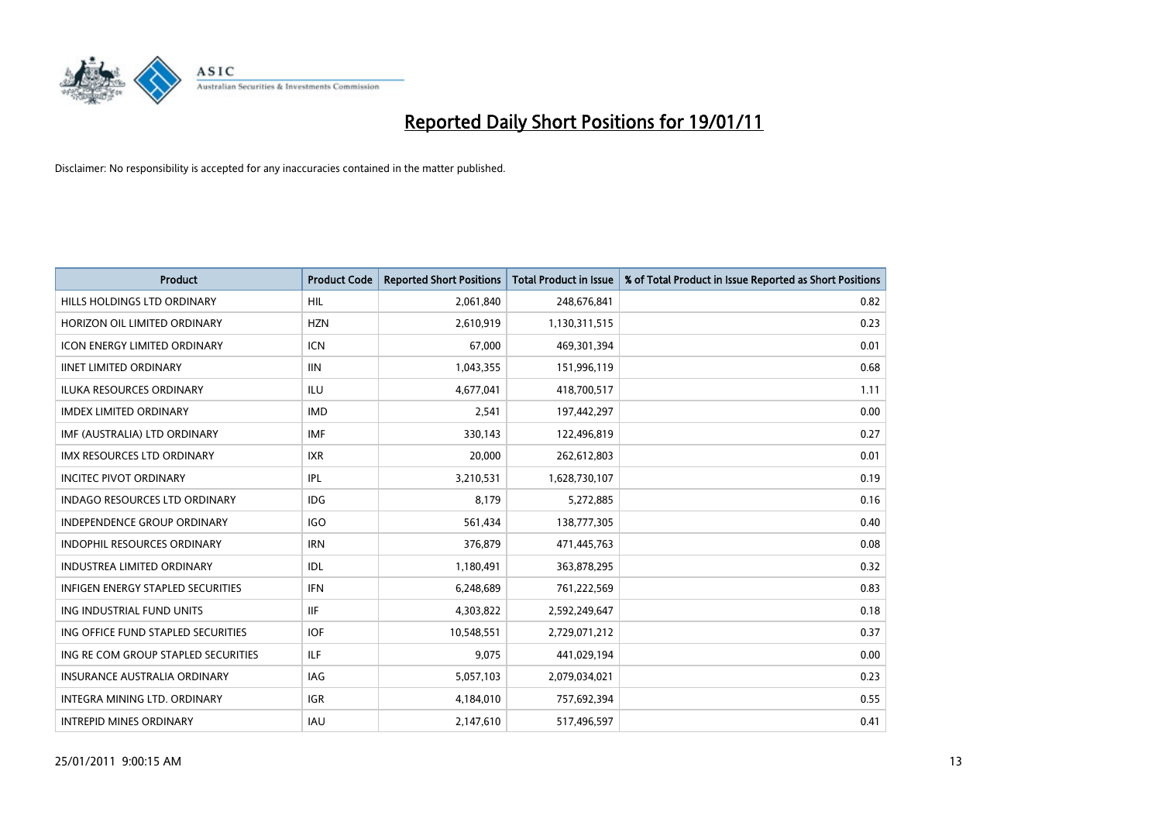

| <b>Product</b>                           | <b>Product Code</b> | <b>Reported Short Positions</b> | <b>Total Product in Issue</b> | % of Total Product in Issue Reported as Short Positions |
|------------------------------------------|---------------------|---------------------------------|-------------------------------|---------------------------------------------------------|
| HILLS HOLDINGS LTD ORDINARY              | <b>HIL</b>          | 2,061,840                       | 248,676,841                   | 0.82                                                    |
| HORIZON OIL LIMITED ORDINARY             | <b>HZN</b>          | 2,610,919                       | 1,130,311,515                 | 0.23                                                    |
| <b>ICON ENERGY LIMITED ORDINARY</b>      | <b>ICN</b>          | 67,000                          | 469,301,394                   | 0.01                                                    |
| <b>IINET LIMITED ORDINARY</b>            | <b>IIN</b>          | 1,043,355                       | 151,996,119                   | 0.68                                                    |
| <b>ILUKA RESOURCES ORDINARY</b>          | ILU                 | 4,677,041                       | 418,700,517                   | 1.11                                                    |
| <b>IMDEX LIMITED ORDINARY</b>            | <b>IMD</b>          | 2,541                           | 197,442,297                   | 0.00                                                    |
| IMF (AUSTRALIA) LTD ORDINARY             | <b>IMF</b>          | 330,143                         | 122,496,819                   | 0.27                                                    |
| <b>IMX RESOURCES LTD ORDINARY</b>        | <b>IXR</b>          | 20,000                          | 262,612,803                   | 0.01                                                    |
| <b>INCITEC PIVOT ORDINARY</b>            | <b>IPL</b>          | 3,210,531                       | 1,628,730,107                 | 0.19                                                    |
| <b>INDAGO RESOURCES LTD ORDINARY</b>     | IDG                 | 8,179                           | 5,272,885                     | 0.16                                                    |
| <b>INDEPENDENCE GROUP ORDINARY</b>       | <b>IGO</b>          | 561,434                         | 138,777,305                   | 0.40                                                    |
| <b>INDOPHIL RESOURCES ORDINARY</b>       | <b>IRN</b>          | 376,879                         | 471,445,763                   | 0.08                                                    |
| <b>INDUSTREA LIMITED ORDINARY</b>        | IDL                 | 1,180,491                       | 363,878,295                   | 0.32                                                    |
| <b>INFIGEN ENERGY STAPLED SECURITIES</b> | <b>IFN</b>          | 6,248,689                       | 761,222,569                   | 0.83                                                    |
| ING INDUSTRIAL FUND UNITS                | <b>IIF</b>          | 4,303,822                       | 2,592,249,647                 | 0.18                                                    |
| ING OFFICE FUND STAPLED SECURITIES       | <b>IOF</b>          | 10,548,551                      | 2,729,071,212                 | 0.37                                                    |
| ING RE COM GROUP STAPLED SECURITIES      | <b>ILF</b>          | 9,075                           | 441,029,194                   | 0.00                                                    |
| INSURANCE AUSTRALIA ORDINARY             | IAG                 | 5,057,103                       | 2,079,034,021                 | 0.23                                                    |
| INTEGRA MINING LTD, ORDINARY             | <b>IGR</b>          | 4,184,010                       | 757,692,394                   | 0.55                                                    |
| <b>INTREPID MINES ORDINARY</b>           | <b>IAU</b>          | 2,147,610                       | 517,496,597                   | 0.41                                                    |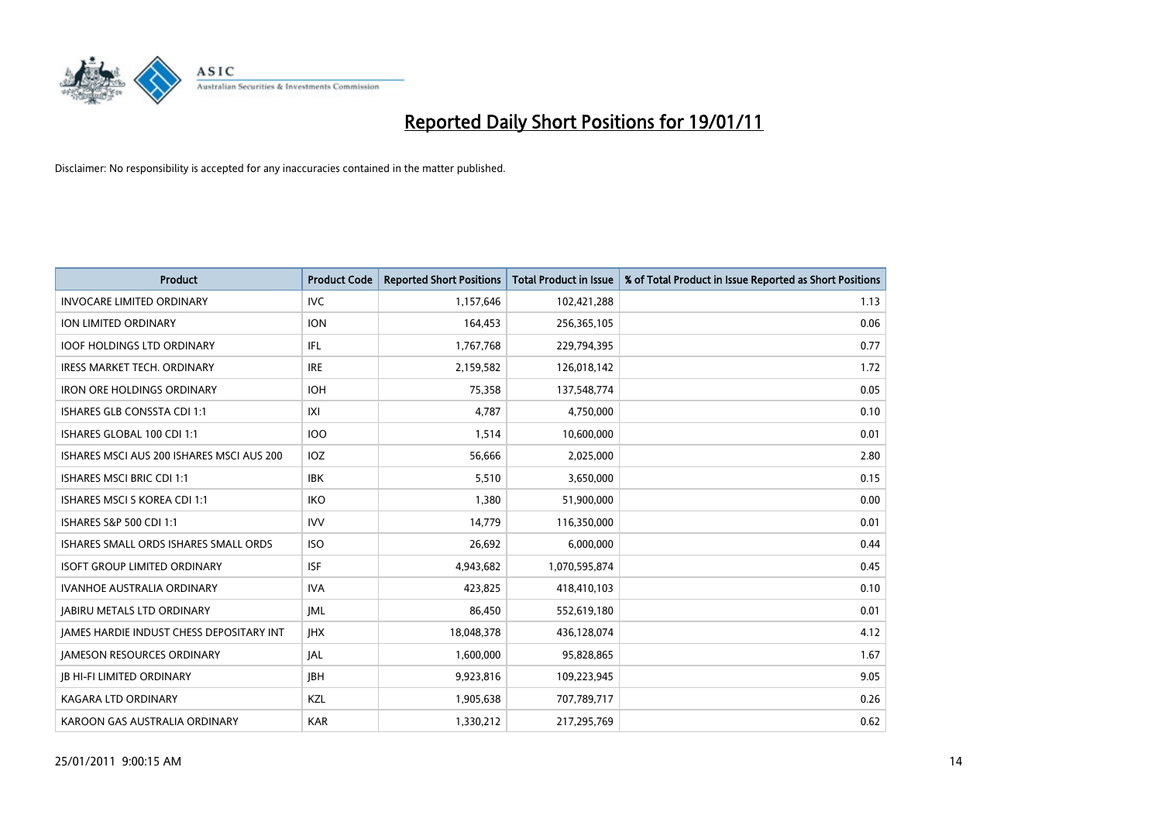

| Product                                         | <b>Product Code</b> | <b>Reported Short Positions</b> | Total Product in Issue | % of Total Product in Issue Reported as Short Positions |
|-------------------------------------------------|---------------------|---------------------------------|------------------------|---------------------------------------------------------|
| <b>INVOCARE LIMITED ORDINARY</b>                | <b>IVC</b>          | 1,157,646                       | 102,421,288            | 1.13                                                    |
| ION LIMITED ORDINARY                            | <b>ION</b>          | 164,453                         | 256,365,105            | 0.06                                                    |
| <b>IOOF HOLDINGS LTD ORDINARY</b>               | IFL.                | 1,767,768                       | 229,794,395            | 0.77                                                    |
| <b>IRESS MARKET TECH. ORDINARY</b>              | <b>IRE</b>          | 2,159,582                       | 126,018,142            | 1.72                                                    |
| <b>IRON ORE HOLDINGS ORDINARY</b>               | <b>IOH</b>          | 75,358                          | 137,548,774            | 0.05                                                    |
| <b>ISHARES GLB CONSSTA CDI 1:1</b>              | X                   | 4,787                           | 4,750,000              | 0.10                                                    |
| ISHARES GLOBAL 100 CDI 1:1                      | <b>IOO</b>          | 1.514                           | 10,600,000             | 0.01                                                    |
| ISHARES MSCI AUS 200 ISHARES MSCI AUS 200       | <b>IOZ</b>          | 56,666                          | 2,025,000              | 2.80                                                    |
| <b>ISHARES MSCI BRIC CDI 1:1</b>                | <b>IBK</b>          | 5,510                           | 3,650,000              | 0.15                                                    |
| <b>ISHARES MSCI S KOREA CDI 1:1</b>             | <b>IKO</b>          | 1,380                           | 51,900,000             | 0.00                                                    |
| ISHARES S&P 500 CDI 1:1                         | <b>IVV</b>          | 14,779                          | 116,350,000            | 0.01                                                    |
| ISHARES SMALL ORDS ISHARES SMALL ORDS           | <b>ISO</b>          | 26,692                          | 6,000,000              | 0.44                                                    |
| <b>ISOFT GROUP LIMITED ORDINARY</b>             | <b>ISF</b>          | 4,943,682                       | 1,070,595,874          | 0.45                                                    |
| <b>IVANHOE AUSTRALIA ORDINARY</b>               | <b>IVA</b>          | 423,825                         | 418,410,103            | 0.10                                                    |
| <b>JABIRU METALS LTD ORDINARY</b>               | <b>JML</b>          | 86,450                          | 552,619,180            | 0.01                                                    |
| <b>JAMES HARDIE INDUST CHESS DEPOSITARY INT</b> | <b>IHX</b>          | 18,048,378                      | 436,128,074            | 4.12                                                    |
| <b>JAMESON RESOURCES ORDINARY</b>               | <b>JAL</b>          | 1,600,000                       | 95,828,865             | 1.67                                                    |
| <b>JB HI-FI LIMITED ORDINARY</b>                | <b>IBH</b>          | 9,923,816                       | 109,223,945            | 9.05                                                    |
| <b>KAGARA LTD ORDINARY</b>                      | KZL                 | 1,905,638                       | 707,789,717            | 0.26                                                    |
| KAROON GAS AUSTRALIA ORDINARY                   | <b>KAR</b>          | 1,330,212                       | 217,295,769            | 0.62                                                    |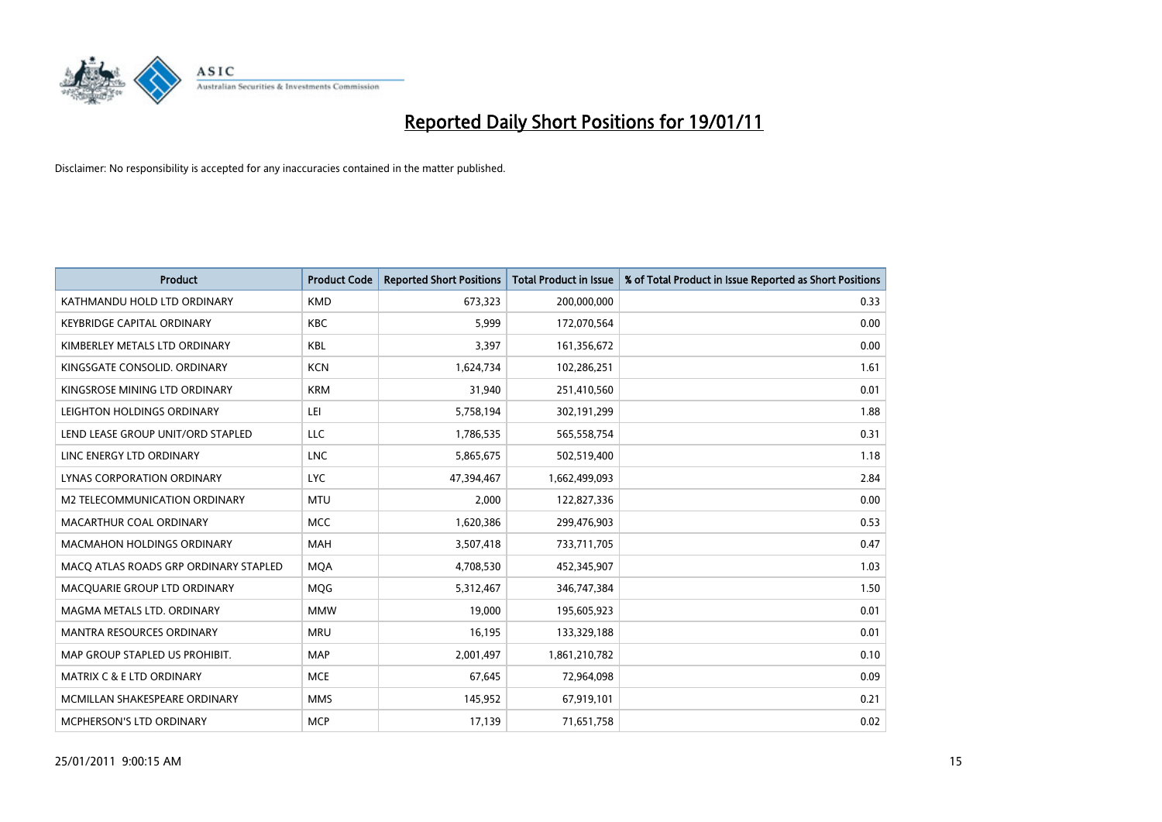

| <b>Product</b>                        | <b>Product Code</b> | <b>Reported Short Positions</b> | <b>Total Product in Issue</b> | % of Total Product in Issue Reported as Short Positions |
|---------------------------------------|---------------------|---------------------------------|-------------------------------|---------------------------------------------------------|
| KATHMANDU HOLD LTD ORDINARY           | <b>KMD</b>          | 673,323                         | 200,000,000                   | 0.33                                                    |
| <b>KEYBRIDGE CAPITAL ORDINARY</b>     | <b>KBC</b>          | 5,999                           | 172,070,564                   | 0.00                                                    |
| KIMBERLEY METALS LTD ORDINARY         | KBL                 | 3,397                           | 161,356,672                   | 0.00                                                    |
| KINGSGATE CONSOLID. ORDINARY          | <b>KCN</b>          | 1,624,734                       | 102,286,251                   | 1.61                                                    |
| KINGSROSE MINING LTD ORDINARY         | <b>KRM</b>          | 31,940                          | 251,410,560                   | 0.01                                                    |
| LEIGHTON HOLDINGS ORDINARY            | LEI                 | 5,758,194                       | 302,191,299                   | 1.88                                                    |
| LEND LEASE GROUP UNIT/ORD STAPLED     | <b>LLC</b>          | 1,786,535                       | 565,558,754                   | 0.31                                                    |
| LINC ENERGY LTD ORDINARY              | <b>LNC</b>          | 5,865,675                       | 502,519,400                   | 1.18                                                    |
| LYNAS CORPORATION ORDINARY            | <b>LYC</b>          | 47,394,467                      | 1,662,499,093                 | 2.84                                                    |
| M2 TELECOMMUNICATION ORDINARY         | <b>MTU</b>          | 2,000                           | 122,827,336                   | 0.00                                                    |
| MACARTHUR COAL ORDINARY               | <b>MCC</b>          | 1,620,386                       | 299,476,903                   | 0.53                                                    |
| MACMAHON HOLDINGS ORDINARY            | MAH                 | 3,507,418                       | 733,711,705                   | 0.47                                                    |
| MACQ ATLAS ROADS GRP ORDINARY STAPLED | <b>MOA</b>          | 4,708,530                       | 452,345,907                   | 1.03                                                    |
| MACQUARIE GROUP LTD ORDINARY          | <b>MOG</b>          | 5,312,467                       | 346,747,384                   | 1.50                                                    |
| MAGMA METALS LTD. ORDINARY            | <b>MMW</b>          | 19,000                          | 195,605,923                   | 0.01                                                    |
| <b>MANTRA RESOURCES ORDINARY</b>      | <b>MRU</b>          | 16,195                          | 133,329,188                   | 0.01                                                    |
| MAP GROUP STAPLED US PROHIBIT.        | <b>MAP</b>          | 2,001,497                       | 1,861,210,782                 | 0.10                                                    |
| MATRIX C & E LTD ORDINARY             | <b>MCE</b>          | 67,645                          | 72,964,098                    | 0.09                                                    |
| MCMILLAN SHAKESPEARE ORDINARY         | <b>MMS</b>          | 145,952                         | 67,919,101                    | 0.21                                                    |
| <b>MCPHERSON'S LTD ORDINARY</b>       | <b>MCP</b>          | 17,139                          | 71,651,758                    | 0.02                                                    |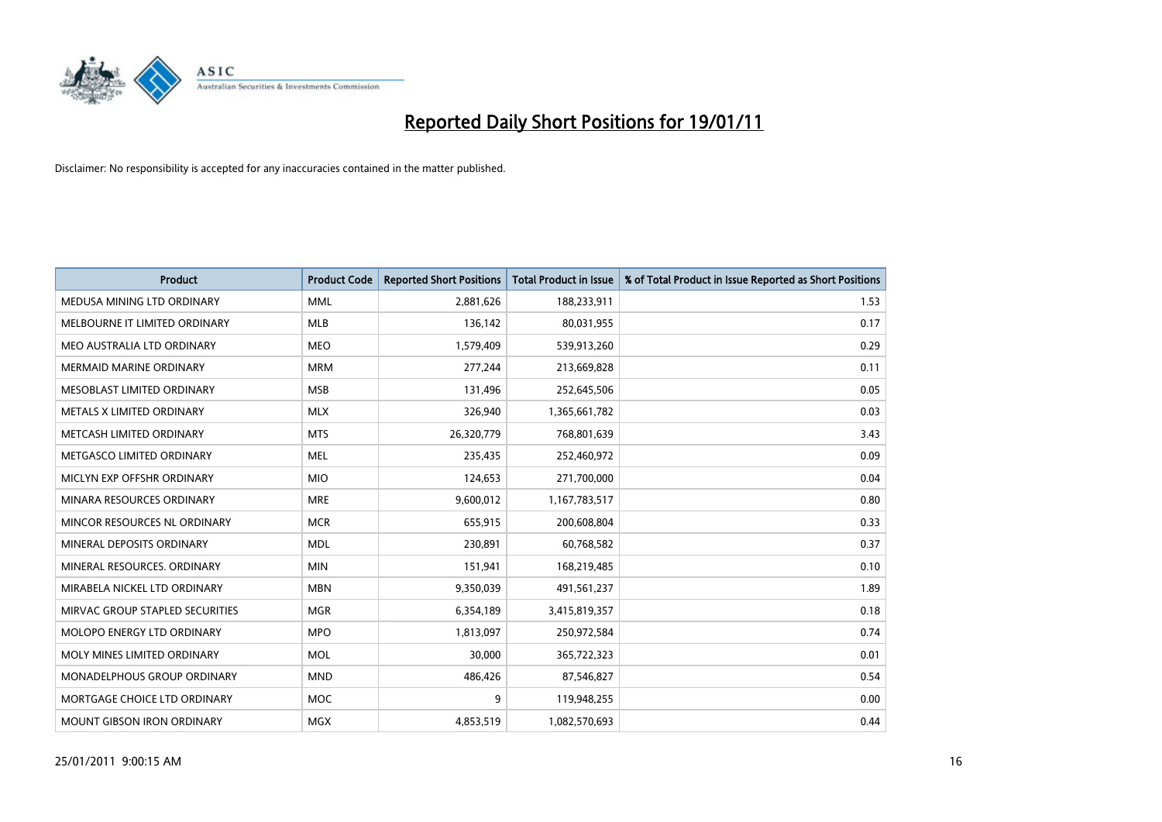

| Product                         | <b>Product Code</b> | <b>Reported Short Positions</b> | Total Product in Issue | % of Total Product in Issue Reported as Short Positions |
|---------------------------------|---------------------|---------------------------------|------------------------|---------------------------------------------------------|
| MEDUSA MINING LTD ORDINARY      | <b>MML</b>          | 2,881,626                       | 188,233,911            | 1.53                                                    |
| MELBOURNE IT LIMITED ORDINARY   | <b>MLB</b>          | 136,142                         | 80,031,955             | 0.17                                                    |
| MEO AUSTRALIA LTD ORDINARY      | <b>MEO</b>          | 1,579,409                       | 539,913,260            | 0.29                                                    |
| MERMAID MARINE ORDINARY         | <b>MRM</b>          | 277,244                         | 213,669,828            | 0.11                                                    |
| MESOBLAST LIMITED ORDINARY      | <b>MSB</b>          | 131,496                         | 252,645,506            | 0.05                                                    |
| METALS X LIMITED ORDINARY       | <b>MLX</b>          | 326,940                         | 1,365,661,782          | 0.03                                                    |
| METCASH LIMITED ORDINARY        | <b>MTS</b>          | 26,320,779                      | 768,801,639            | 3.43                                                    |
| METGASCO LIMITED ORDINARY       | <b>MEL</b>          | 235,435                         | 252,460,972            | 0.09                                                    |
| MICLYN EXP OFFSHR ORDINARY      | <b>MIO</b>          | 124,653                         | 271,700,000            | 0.04                                                    |
| MINARA RESOURCES ORDINARY       | <b>MRE</b>          | 9,600,012                       | 1,167,783,517          | 0.80                                                    |
| MINCOR RESOURCES NL ORDINARY    | <b>MCR</b>          | 655,915                         | 200,608,804            | 0.33                                                    |
| MINERAL DEPOSITS ORDINARY       | <b>MDL</b>          | 230,891                         | 60,768,582             | 0.37                                                    |
| MINERAL RESOURCES, ORDINARY     | <b>MIN</b>          | 151,941                         | 168,219,485            | 0.10                                                    |
| MIRABELA NICKEL LTD ORDINARY    | <b>MBN</b>          | 9,350,039                       | 491,561,237            | 1.89                                                    |
| MIRVAC GROUP STAPLED SECURITIES | <b>MGR</b>          | 6,354,189                       | 3,415,819,357          | 0.18                                                    |
| MOLOPO ENERGY LTD ORDINARY      | <b>MPO</b>          | 1,813,097                       | 250,972,584            | 0.74                                                    |
| MOLY MINES LIMITED ORDINARY     | <b>MOL</b>          | 30,000                          | 365,722,323            | 0.01                                                    |
| MONADELPHOUS GROUP ORDINARY     | <b>MND</b>          | 486,426                         | 87,546,827             | 0.54                                                    |
| MORTGAGE CHOICE LTD ORDINARY    | MOC                 | 9                               | 119,948,255            | 0.00                                                    |
| MOUNT GIBSON IRON ORDINARY      | <b>MGX</b>          | 4,853,519                       | 1,082,570,693          | 0.44                                                    |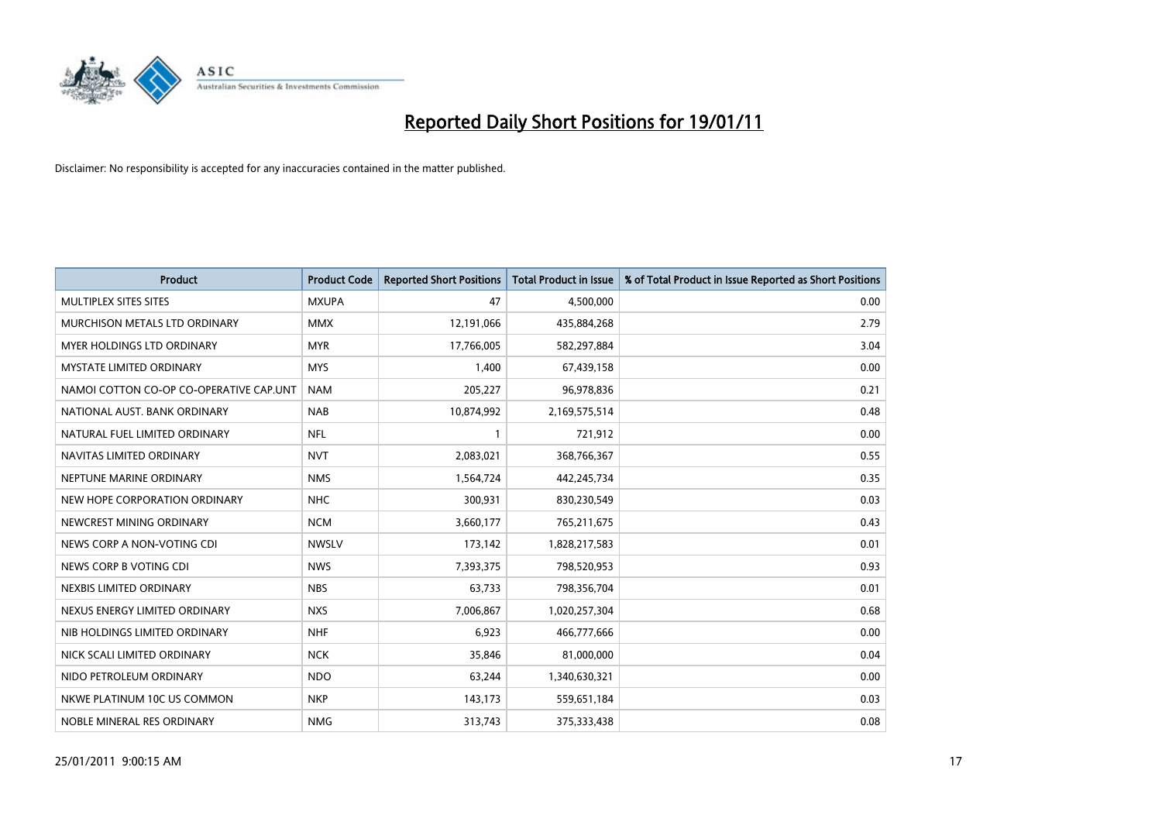

| <b>Product</b>                          | <b>Product Code</b> | <b>Reported Short Positions</b> | <b>Total Product in Issue</b> | % of Total Product in Issue Reported as Short Positions |
|-----------------------------------------|---------------------|---------------------------------|-------------------------------|---------------------------------------------------------|
| MULTIPLEX SITES SITES                   | <b>MXUPA</b>        | 47                              | 4,500,000                     | 0.00                                                    |
| MURCHISON METALS LTD ORDINARY           | <b>MMX</b>          | 12,191,066                      | 435,884,268                   | 2.79                                                    |
| <b>MYER HOLDINGS LTD ORDINARY</b>       | <b>MYR</b>          | 17,766,005                      | 582,297,884                   | 3.04                                                    |
| <b>MYSTATE LIMITED ORDINARY</b>         | <b>MYS</b>          | 1,400                           | 67,439,158                    | 0.00                                                    |
| NAMOI COTTON CO-OP CO-OPERATIVE CAP.UNT | <b>NAM</b>          | 205,227                         | 96,978,836                    | 0.21                                                    |
| NATIONAL AUST. BANK ORDINARY            | <b>NAB</b>          | 10,874,992                      | 2,169,575,514                 | 0.48                                                    |
| NATURAL FUEL LIMITED ORDINARY           | <b>NFL</b>          |                                 | 721,912                       | 0.00                                                    |
| NAVITAS LIMITED ORDINARY                | <b>NVT</b>          | 2,083,021                       | 368,766,367                   | 0.55                                                    |
| NEPTUNE MARINE ORDINARY                 | <b>NMS</b>          | 1,564,724                       | 442,245,734                   | 0.35                                                    |
| NEW HOPE CORPORATION ORDINARY           | <b>NHC</b>          | 300,931                         | 830,230,549                   | 0.03                                                    |
| NEWCREST MINING ORDINARY                | <b>NCM</b>          | 3,660,177                       | 765,211,675                   | 0.43                                                    |
| NEWS CORP A NON-VOTING CDI              | <b>NWSLV</b>        | 173,142                         | 1,828,217,583                 | 0.01                                                    |
| NEWS CORP B VOTING CDI                  | <b>NWS</b>          | 7,393,375                       | 798,520,953                   | 0.93                                                    |
| NEXBIS LIMITED ORDINARY                 | <b>NBS</b>          | 63,733                          | 798,356,704                   | 0.01                                                    |
| NEXUS ENERGY LIMITED ORDINARY           | <b>NXS</b>          | 7,006,867                       | 1,020,257,304                 | 0.68                                                    |
| NIB HOLDINGS LIMITED ORDINARY           | <b>NHF</b>          | 6,923                           | 466,777,666                   | 0.00                                                    |
| NICK SCALI LIMITED ORDINARY             | <b>NCK</b>          | 35,846                          | 81,000,000                    | 0.04                                                    |
| NIDO PETROLEUM ORDINARY                 | <b>NDO</b>          | 63,244                          | 1,340,630,321                 | 0.00                                                    |
| NKWE PLATINUM 10C US COMMON             | <b>NKP</b>          | 143,173                         | 559,651,184                   | 0.03                                                    |
| NOBLE MINERAL RES ORDINARY              | <b>NMG</b>          | 313,743                         | 375,333,438                   | 0.08                                                    |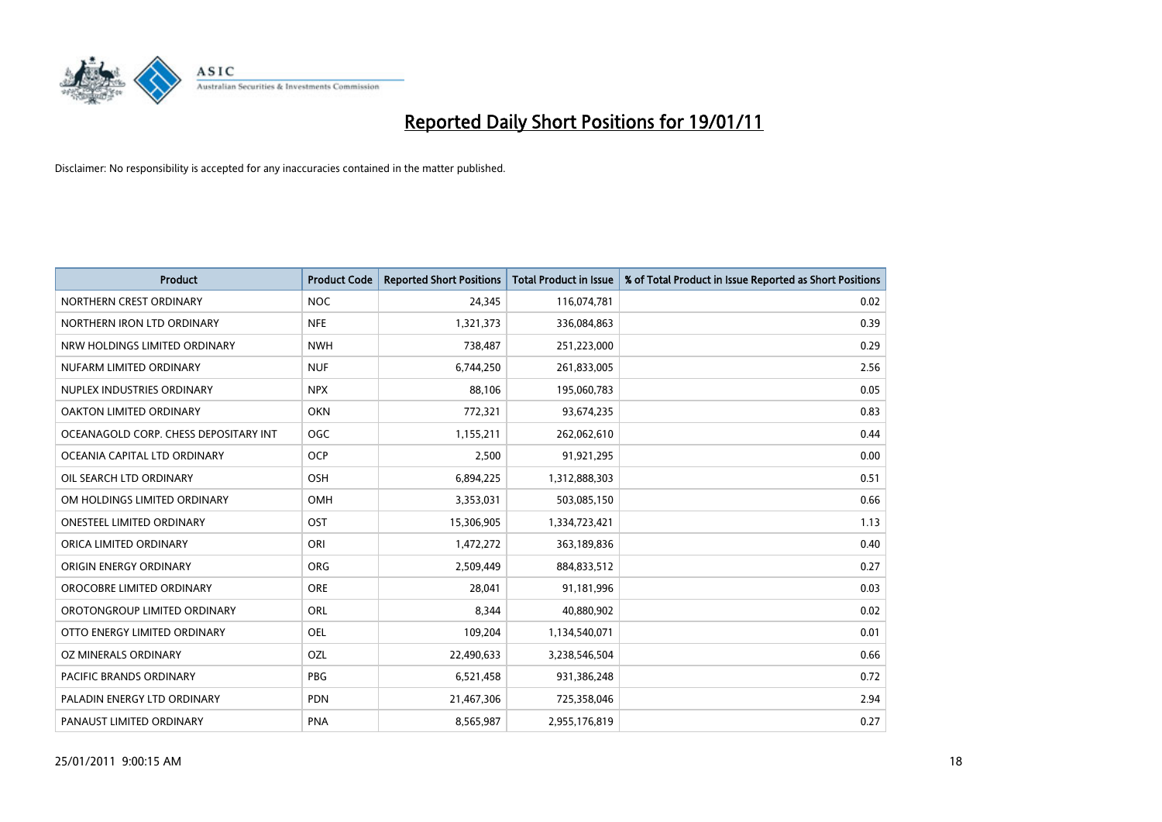

| <b>Product</b>                        | <b>Product Code</b> | <b>Reported Short Positions</b> | Total Product in Issue | % of Total Product in Issue Reported as Short Positions |
|---------------------------------------|---------------------|---------------------------------|------------------------|---------------------------------------------------------|
| NORTHERN CREST ORDINARY               | <b>NOC</b>          | 24,345                          | 116,074,781            | 0.02                                                    |
| NORTHERN IRON LTD ORDINARY            | <b>NFE</b>          | 1,321,373                       | 336,084,863            | 0.39                                                    |
| NRW HOLDINGS LIMITED ORDINARY         | <b>NWH</b>          | 738,487                         | 251,223,000            | 0.29                                                    |
| NUFARM LIMITED ORDINARY               | <b>NUF</b>          | 6,744,250                       | 261,833,005            | 2.56                                                    |
| NUPLEX INDUSTRIES ORDINARY            | <b>NPX</b>          | 88,106                          | 195,060,783            | 0.05                                                    |
| OAKTON LIMITED ORDINARY               | <b>OKN</b>          | 772,321                         | 93,674,235             | 0.83                                                    |
| OCEANAGOLD CORP. CHESS DEPOSITARY INT | <b>OGC</b>          | 1,155,211                       | 262,062,610            | 0.44                                                    |
| OCEANIA CAPITAL LTD ORDINARY          | <b>OCP</b>          | 2,500                           | 91,921,295             | 0.00                                                    |
| OIL SEARCH LTD ORDINARY               | <b>OSH</b>          | 6,894,225                       | 1,312,888,303          | 0.51                                                    |
| OM HOLDINGS LIMITED ORDINARY          | OMH                 | 3,353,031                       | 503,085,150            | 0.66                                                    |
| <b>ONESTEEL LIMITED ORDINARY</b>      | <b>OST</b>          | 15,306,905                      | 1,334,723,421          | 1.13                                                    |
| ORICA LIMITED ORDINARY                | ORI                 | 1,472,272                       | 363,189,836            | 0.40                                                    |
| ORIGIN ENERGY ORDINARY                | <b>ORG</b>          | 2,509,449                       | 884,833,512            | 0.27                                                    |
| OROCOBRE LIMITED ORDINARY             | <b>ORE</b>          | 28.041                          | 91,181,996             | 0.03                                                    |
| OROTONGROUP LIMITED ORDINARY          | <b>ORL</b>          | 8,344                           | 40,880,902             | 0.02                                                    |
| OTTO ENERGY LIMITED ORDINARY          | OEL                 | 109,204                         | 1,134,540,071          | 0.01                                                    |
| OZ MINERALS ORDINARY                  | OZL                 | 22,490,633                      | 3,238,546,504          | 0.66                                                    |
| PACIFIC BRANDS ORDINARY               | <b>PBG</b>          | 6,521,458                       | 931,386,248            | 0.72                                                    |
| PALADIN ENERGY LTD ORDINARY           | <b>PDN</b>          | 21,467,306                      | 725,358,046            | 2.94                                                    |
| PANAUST LIMITED ORDINARY              | <b>PNA</b>          | 8,565,987                       | 2,955,176,819          | 0.27                                                    |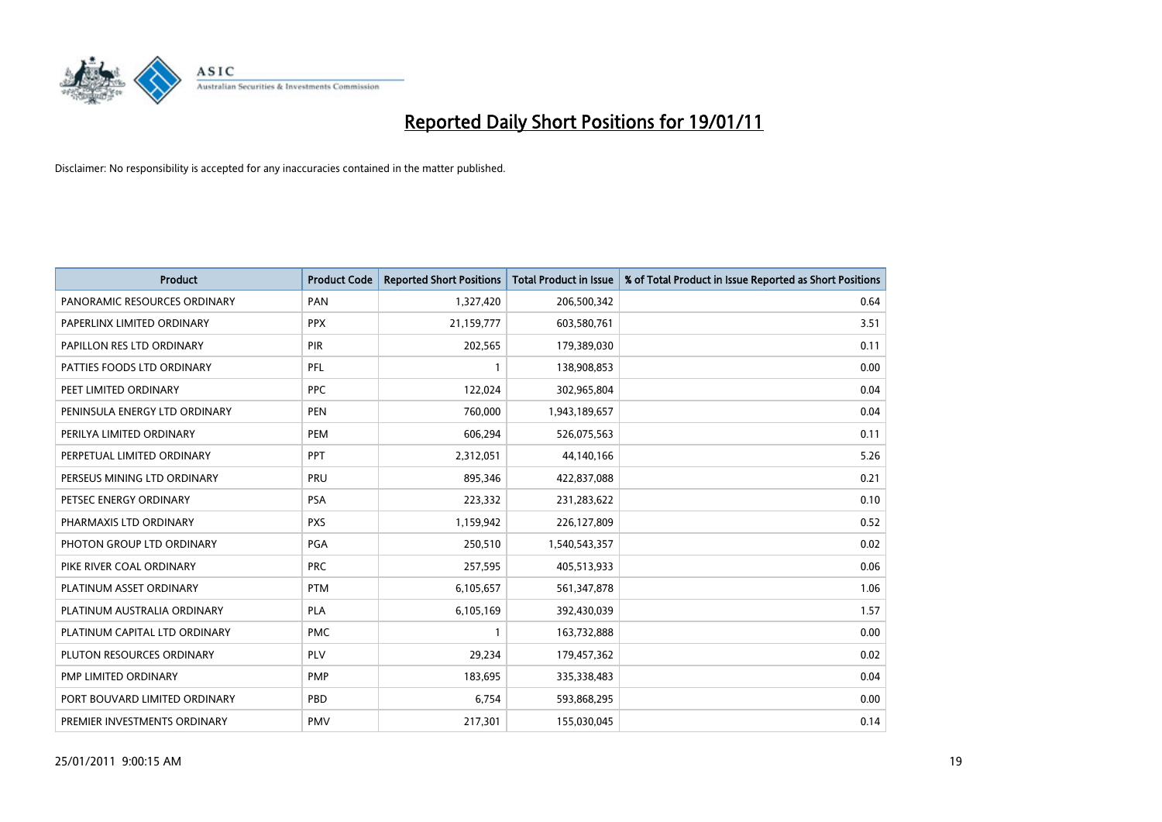

| <b>Product</b>                | <b>Product Code</b> | <b>Reported Short Positions</b> | Total Product in Issue | % of Total Product in Issue Reported as Short Positions |
|-------------------------------|---------------------|---------------------------------|------------------------|---------------------------------------------------------|
| PANORAMIC RESOURCES ORDINARY  | PAN                 | 1,327,420                       | 206,500,342            | 0.64                                                    |
| PAPERLINX LIMITED ORDINARY    | <b>PPX</b>          | 21,159,777                      | 603,580,761            | 3.51                                                    |
| PAPILLON RES LTD ORDINARY     | PIR                 | 202,565                         | 179,389,030            | 0.11                                                    |
| PATTIES FOODS LTD ORDINARY    | PFL                 |                                 | 138,908,853            | 0.00                                                    |
| PEET LIMITED ORDINARY         | <b>PPC</b>          | 122,024                         | 302,965,804            | 0.04                                                    |
| PENINSULA ENERGY LTD ORDINARY | <b>PEN</b>          | 760,000                         | 1,943,189,657          | 0.04                                                    |
| PERILYA LIMITED ORDINARY      | PEM                 | 606,294                         | 526,075,563            | 0.11                                                    |
| PERPETUAL LIMITED ORDINARY    | <b>PPT</b>          | 2,312,051                       | 44,140,166             | 5.26                                                    |
| PERSEUS MINING LTD ORDINARY   | PRU                 | 895,346                         | 422,837,088            | 0.21                                                    |
| PETSEC ENERGY ORDINARY        | <b>PSA</b>          | 223,332                         | 231,283,622            | 0.10                                                    |
| PHARMAXIS LTD ORDINARY        | <b>PXS</b>          | 1,159,942                       | 226,127,809            | 0.52                                                    |
| PHOTON GROUP LTD ORDINARY     | PGA                 | 250,510                         | 1,540,543,357          | 0.02                                                    |
| PIKE RIVER COAL ORDINARY      | <b>PRC</b>          | 257,595                         | 405,513,933            | 0.06                                                    |
| PLATINUM ASSET ORDINARY       | <b>PTM</b>          | 6,105,657                       | 561,347,878            | 1.06                                                    |
| PLATINUM AUSTRALIA ORDINARY   | <b>PLA</b>          | 6,105,169                       | 392,430,039            | 1.57                                                    |
| PLATINUM CAPITAL LTD ORDINARY | <b>PMC</b>          |                                 | 163,732,888            | 0.00                                                    |
| PLUTON RESOURCES ORDINARY     | PLV                 | 29,234                          | 179,457,362            | 0.02                                                    |
| PMP LIMITED ORDINARY          | <b>PMP</b>          | 183,695                         | 335,338,483            | 0.04                                                    |
| PORT BOUVARD LIMITED ORDINARY | PBD                 | 6,754                           | 593,868,295            | 0.00                                                    |
| PREMIER INVESTMENTS ORDINARY  | <b>PMV</b>          | 217,301                         | 155,030,045            | 0.14                                                    |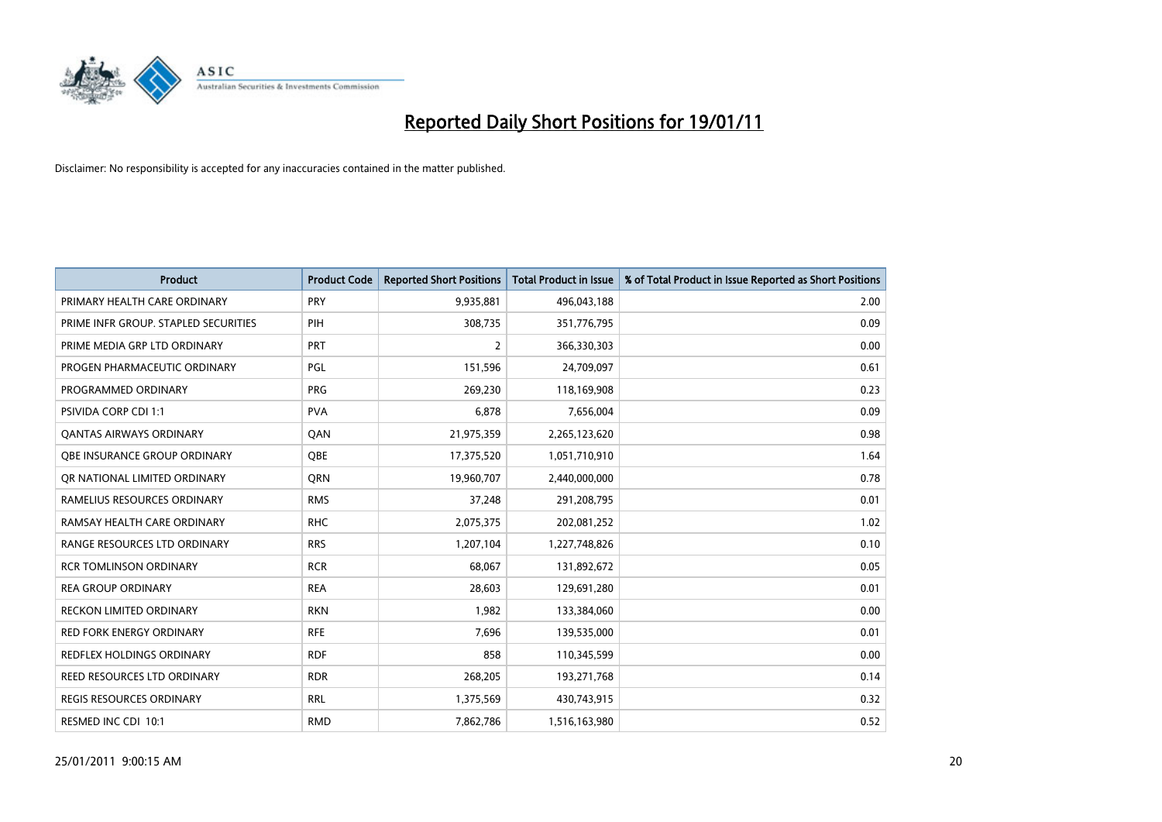

| Product                              | <b>Product Code</b> | <b>Reported Short Positions</b> | <b>Total Product in Issue</b> | % of Total Product in Issue Reported as Short Positions |
|--------------------------------------|---------------------|---------------------------------|-------------------------------|---------------------------------------------------------|
| PRIMARY HEALTH CARE ORDINARY         | <b>PRY</b>          | 9,935,881                       | 496,043,188                   | 2.00                                                    |
| PRIME INFR GROUP. STAPLED SECURITIES | PIH                 | 308,735                         | 351,776,795                   | 0.09                                                    |
| PRIME MEDIA GRP LTD ORDINARY         | <b>PRT</b>          | 2                               | 366,330,303                   | 0.00                                                    |
| PROGEN PHARMACEUTIC ORDINARY         | PGL                 | 151,596                         | 24,709,097                    | 0.61                                                    |
| PROGRAMMED ORDINARY                  | <b>PRG</b>          | 269,230                         | 118,169,908                   | 0.23                                                    |
| PSIVIDA CORP CDI 1:1                 | <b>PVA</b>          | 6,878                           | 7,656,004                     | 0.09                                                    |
| <b>QANTAS AIRWAYS ORDINARY</b>       | QAN                 | 21,975,359                      | 2,265,123,620                 | 0.98                                                    |
| OBE INSURANCE GROUP ORDINARY         | <b>OBE</b>          | 17,375,520                      | 1,051,710,910                 | 1.64                                                    |
| OR NATIONAL LIMITED ORDINARY         | <b>ORN</b>          | 19,960,707                      | 2,440,000,000                 | 0.78                                                    |
| RAMELIUS RESOURCES ORDINARY          | <b>RMS</b>          | 37,248                          | 291,208,795                   | 0.01                                                    |
| RAMSAY HEALTH CARE ORDINARY          | <b>RHC</b>          | 2,075,375                       | 202,081,252                   | 1.02                                                    |
| RANGE RESOURCES LTD ORDINARY         | <b>RRS</b>          | 1,207,104                       | 1,227,748,826                 | 0.10                                                    |
| <b>RCR TOMLINSON ORDINARY</b>        | <b>RCR</b>          | 68,067                          | 131,892,672                   | 0.05                                                    |
| <b>REA GROUP ORDINARY</b>            | <b>REA</b>          | 28,603                          | 129,691,280                   | 0.01                                                    |
| RECKON LIMITED ORDINARY              | <b>RKN</b>          | 1,982                           | 133,384,060                   | 0.00                                                    |
| RED FORK ENERGY ORDINARY             | <b>RFE</b>          | 7,696                           | 139,535,000                   | 0.01                                                    |
| REDFLEX HOLDINGS ORDINARY            | <b>RDF</b>          | 858                             | 110,345,599                   | 0.00                                                    |
| <b>REED RESOURCES LTD ORDINARY</b>   | <b>RDR</b>          | 268,205                         | 193,271,768                   | 0.14                                                    |
| <b>REGIS RESOURCES ORDINARY</b>      | <b>RRL</b>          | 1,375,569                       | 430,743,915                   | 0.32                                                    |
| RESMED INC CDI 10:1                  | <b>RMD</b>          | 7,862,786                       | 1,516,163,980                 | 0.52                                                    |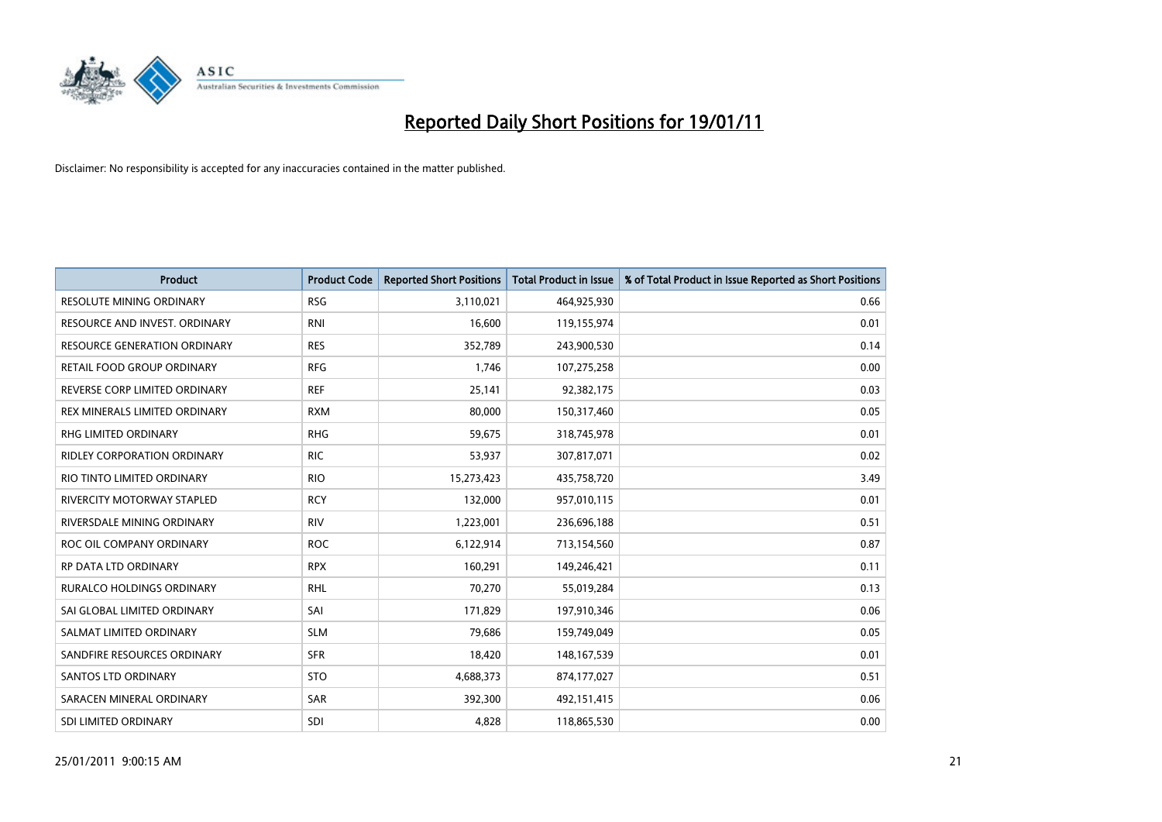

| <b>Product</b>                      | <b>Product Code</b> | <b>Reported Short Positions</b> | Total Product in Issue | % of Total Product in Issue Reported as Short Positions |
|-------------------------------------|---------------------|---------------------------------|------------------------|---------------------------------------------------------|
| <b>RESOLUTE MINING ORDINARY</b>     | <b>RSG</b>          | 3,110,021                       | 464,925,930            | 0.66                                                    |
| RESOURCE AND INVEST. ORDINARY       | <b>RNI</b>          | 16,600                          | 119,155,974            | 0.01                                                    |
| <b>RESOURCE GENERATION ORDINARY</b> | <b>RES</b>          | 352,789                         | 243,900,530            | 0.14                                                    |
| RETAIL FOOD GROUP ORDINARY          | <b>RFG</b>          | 1,746                           | 107,275,258            | 0.00                                                    |
| REVERSE CORP LIMITED ORDINARY       | <b>REF</b>          | 25,141                          | 92,382,175             | 0.03                                                    |
| REX MINERALS LIMITED ORDINARY       | <b>RXM</b>          | 80.000                          | 150,317,460            | 0.05                                                    |
| RHG LIMITED ORDINARY                | <b>RHG</b>          | 59,675                          | 318,745,978            | 0.01                                                    |
| RIDLEY CORPORATION ORDINARY         | <b>RIC</b>          | 53,937                          | 307,817,071            | 0.02                                                    |
| RIO TINTO LIMITED ORDINARY          | <b>RIO</b>          | 15,273,423                      | 435,758,720            | 3.49                                                    |
| RIVERCITY MOTORWAY STAPLED          | <b>RCY</b>          | 132,000                         | 957,010,115            | 0.01                                                    |
| RIVERSDALE MINING ORDINARY          | <b>RIV</b>          | 1,223,001                       | 236,696,188            | 0.51                                                    |
| ROC OIL COMPANY ORDINARY            | <b>ROC</b>          | 6,122,914                       | 713,154,560            | 0.87                                                    |
| RP DATA LTD ORDINARY                | <b>RPX</b>          | 160,291                         | 149,246,421            | 0.11                                                    |
| <b>RURALCO HOLDINGS ORDINARY</b>    | <b>RHL</b>          | 70,270                          | 55,019,284             | 0.13                                                    |
| SAI GLOBAL LIMITED ORDINARY         | SAI                 | 171,829                         | 197,910,346            | 0.06                                                    |
| SALMAT LIMITED ORDINARY             | <b>SLM</b>          | 79,686                          | 159,749,049            | 0.05                                                    |
| SANDFIRE RESOURCES ORDINARY         | <b>SFR</b>          | 18,420                          | 148,167,539            | 0.01                                                    |
| SANTOS LTD ORDINARY                 | <b>STO</b>          | 4,688,373                       | 874,177,027            | 0.51                                                    |
| SARACEN MINERAL ORDINARY            | SAR                 | 392,300                         | 492,151,415            | 0.06                                                    |
| SDI LIMITED ORDINARY                | SDI                 | 4,828                           | 118,865,530            | 0.00                                                    |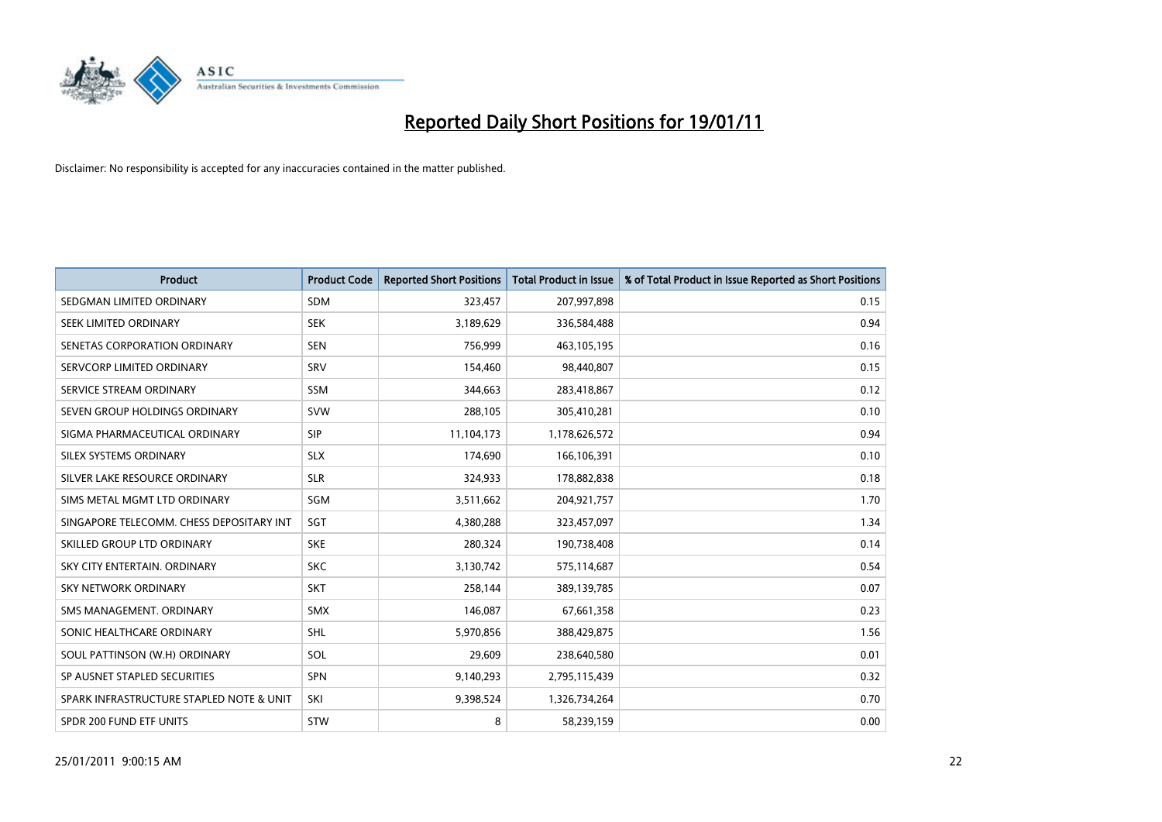

| <b>Product</b>                           | <b>Product Code</b> | <b>Reported Short Positions</b> | Total Product in Issue | % of Total Product in Issue Reported as Short Positions |
|------------------------------------------|---------------------|---------------------------------|------------------------|---------------------------------------------------------|
| SEDGMAN LIMITED ORDINARY                 | <b>SDM</b>          | 323,457                         | 207,997,898            | 0.15                                                    |
| SEEK LIMITED ORDINARY                    | <b>SEK</b>          | 3,189,629                       | 336,584,488            | 0.94                                                    |
| SENETAS CORPORATION ORDINARY             | <b>SEN</b>          | 756,999                         | 463,105,195            | 0.16                                                    |
| SERVCORP LIMITED ORDINARY                | SRV                 | 154,460                         | 98,440,807             | 0.15                                                    |
| SERVICE STREAM ORDINARY                  | <b>SSM</b>          | 344,663                         | 283,418,867            | 0.12                                                    |
| SEVEN GROUP HOLDINGS ORDINARY            | <b>SVW</b>          | 288,105                         | 305,410,281            | 0.10                                                    |
| SIGMA PHARMACEUTICAL ORDINARY            | <b>SIP</b>          | 11,104,173                      | 1,178,626,572          | 0.94                                                    |
| SILEX SYSTEMS ORDINARY                   | <b>SLX</b>          | 174,690                         | 166,106,391            | 0.10                                                    |
| SILVER LAKE RESOURCE ORDINARY            | <b>SLR</b>          | 324,933                         | 178,882,838            | 0.18                                                    |
| SIMS METAL MGMT LTD ORDINARY             | SGM                 | 3,511,662                       | 204,921,757            | 1.70                                                    |
| SINGAPORE TELECOMM. CHESS DEPOSITARY INT | SGT                 | 4,380,288                       | 323,457,097            | 1.34                                                    |
| SKILLED GROUP LTD ORDINARY               | <b>SKE</b>          | 280,324                         | 190,738,408            | 0.14                                                    |
| SKY CITY ENTERTAIN, ORDINARY             | <b>SKC</b>          | 3,130,742                       | 575,114,687            | 0.54                                                    |
| <b>SKY NETWORK ORDINARY</b>              | <b>SKT</b>          | 258,144                         | 389,139,785            | 0.07                                                    |
| SMS MANAGEMENT, ORDINARY                 | <b>SMX</b>          | 146,087                         | 67,661,358             | 0.23                                                    |
| SONIC HEALTHCARE ORDINARY                | <b>SHL</b>          | 5,970,856                       | 388,429,875            | 1.56                                                    |
| SOUL PATTINSON (W.H) ORDINARY            | SOL                 | 29,609                          | 238,640,580            | 0.01                                                    |
| SP AUSNET STAPLED SECURITIES             | <b>SPN</b>          | 9,140,293                       | 2,795,115,439          | 0.32                                                    |
| SPARK INFRASTRUCTURE STAPLED NOTE & UNIT | SKI                 | 9,398,524                       | 1,326,734,264          | 0.70                                                    |
| SPDR 200 FUND ETF UNITS                  | STW                 | 8                               | 58,239,159             | 0.00                                                    |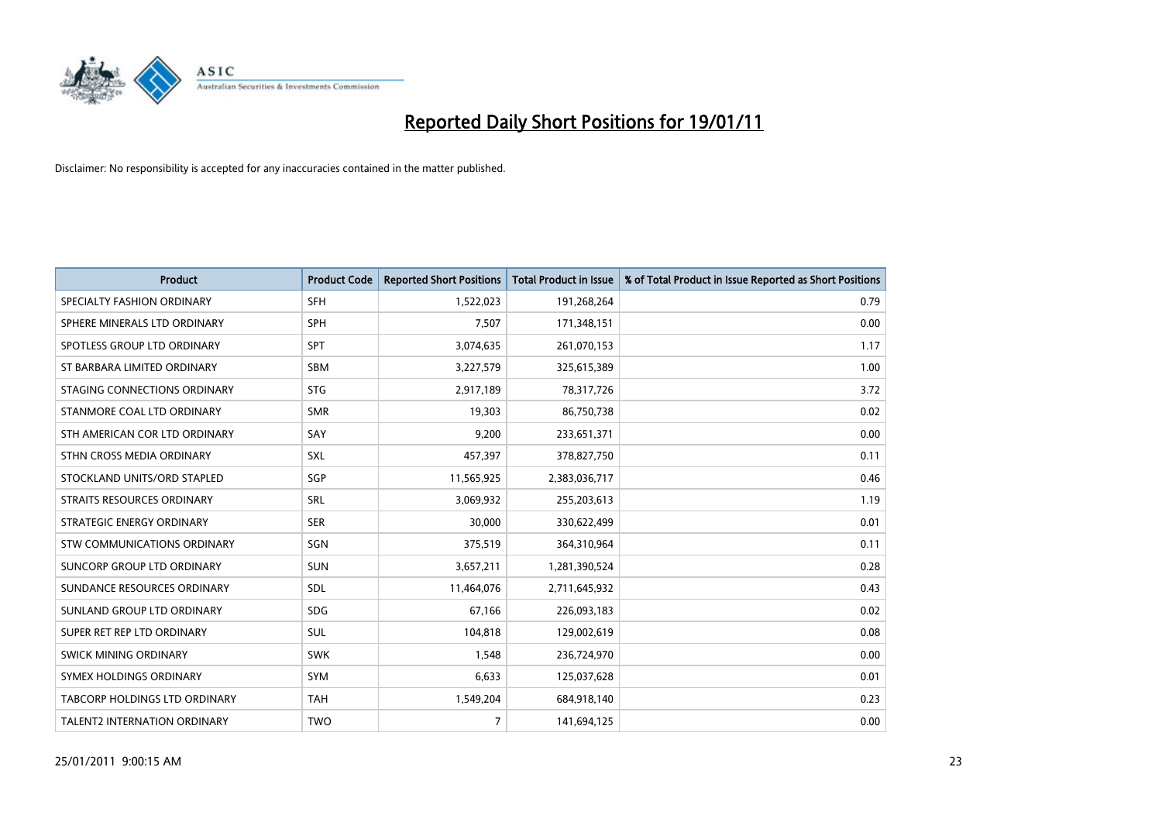

| <b>Product</b>                | <b>Product Code</b> | <b>Reported Short Positions</b> | Total Product in Issue | % of Total Product in Issue Reported as Short Positions |
|-------------------------------|---------------------|---------------------------------|------------------------|---------------------------------------------------------|
| SPECIALTY FASHION ORDINARY    | <b>SFH</b>          | 1,522,023                       | 191,268,264            | 0.79                                                    |
| SPHERE MINERALS LTD ORDINARY  | <b>SPH</b>          | 7,507                           | 171,348,151            | 0.00                                                    |
| SPOTLESS GROUP LTD ORDINARY   | <b>SPT</b>          | 3,074,635                       | 261,070,153            | 1.17                                                    |
| ST BARBARA LIMITED ORDINARY   | <b>SBM</b>          | 3,227,579                       | 325,615,389            | 1.00                                                    |
| STAGING CONNECTIONS ORDINARY  | <b>STG</b>          | 2,917,189                       | 78,317,726             | 3.72                                                    |
| STANMORE COAL LTD ORDINARY    | <b>SMR</b>          | 19.303                          | 86,750,738             | 0.02                                                    |
| STH AMERICAN COR LTD ORDINARY | SAY                 | 9,200                           | 233,651,371            | 0.00                                                    |
| STHN CROSS MEDIA ORDINARY     | SXL                 | 457,397                         | 378,827,750            | 0.11                                                    |
| STOCKLAND UNITS/ORD STAPLED   | SGP                 | 11,565,925                      | 2,383,036,717          | 0.46                                                    |
| STRAITS RESOURCES ORDINARY    | SRL                 | 3,069,932                       | 255,203,613            | 1.19                                                    |
| STRATEGIC ENERGY ORDINARY     | <b>SER</b>          | 30,000                          | 330,622,499            | 0.01                                                    |
| STW COMMUNICATIONS ORDINARY   | SGN                 | 375,519                         | 364,310,964            | 0.11                                                    |
| SUNCORP GROUP LTD ORDINARY    | <b>SUN</b>          | 3,657,211                       | 1,281,390,524          | 0.28                                                    |
| SUNDANCE RESOURCES ORDINARY   | SDL                 | 11,464,076                      | 2,711,645,932          | 0.43                                                    |
| SUNLAND GROUP LTD ORDINARY    | <b>SDG</b>          | 67,166                          | 226,093,183            | 0.02                                                    |
| SUPER RET REP LTD ORDINARY    | SUL                 | 104,818                         | 129,002,619            | 0.08                                                    |
| SWICK MINING ORDINARY         | <b>SWK</b>          | 1,548                           | 236,724,970            | 0.00                                                    |
| SYMEX HOLDINGS ORDINARY       | <b>SYM</b>          | 6,633                           | 125,037,628            | 0.01                                                    |
| TABCORP HOLDINGS LTD ORDINARY | <b>TAH</b>          | 1,549,204                       | 684,918,140            | 0.23                                                    |
| TALENT2 INTERNATION ORDINARY  | <b>TWO</b>          | $\overline{7}$                  | 141,694,125            | 0.00                                                    |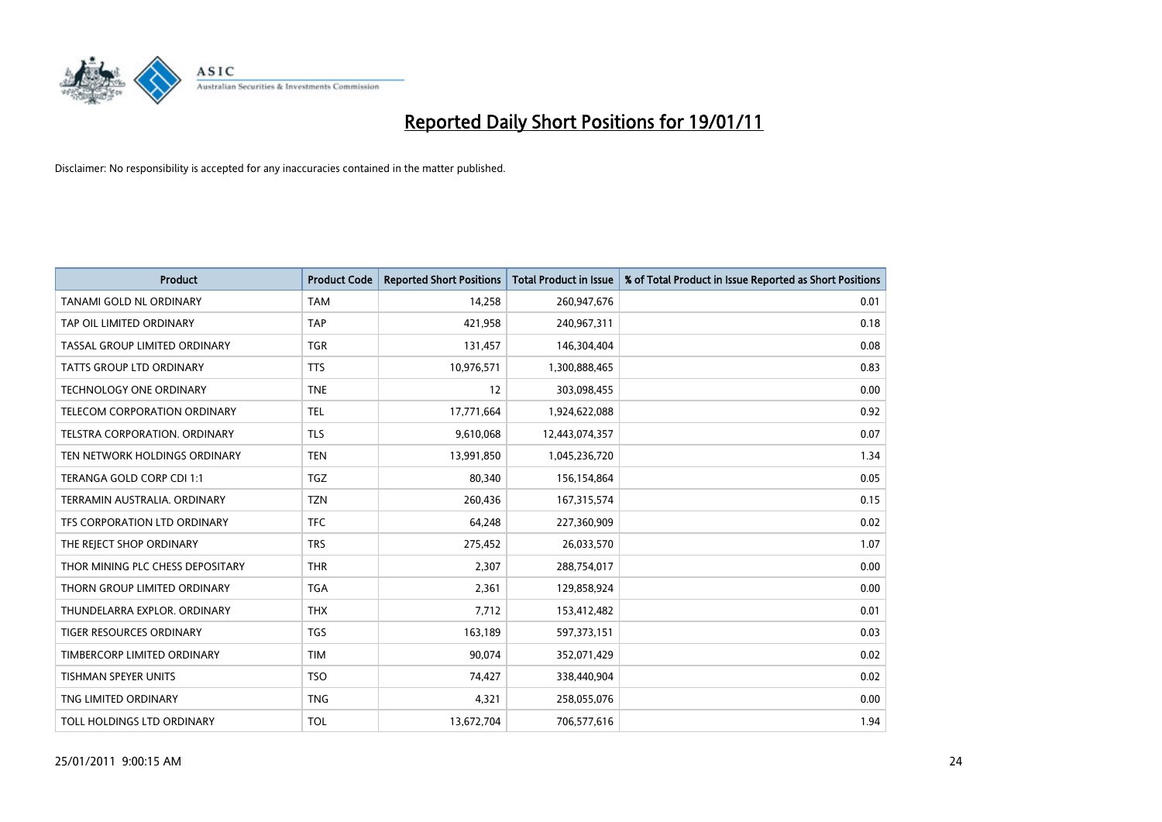

| <b>Product</b>                   | <b>Product Code</b> | <b>Reported Short Positions</b> | Total Product in Issue | % of Total Product in Issue Reported as Short Positions |
|----------------------------------|---------------------|---------------------------------|------------------------|---------------------------------------------------------|
| TANAMI GOLD NL ORDINARY          | <b>TAM</b>          | 14,258                          | 260,947,676            | 0.01                                                    |
| TAP OIL LIMITED ORDINARY         | <b>TAP</b>          | 421,958                         | 240,967,311            | 0.18                                                    |
| TASSAL GROUP LIMITED ORDINARY    | <b>TGR</b>          | 131,457                         | 146,304,404            | 0.08                                                    |
| TATTS GROUP LTD ORDINARY         | <b>TTS</b>          | 10,976,571                      | 1,300,888,465          | 0.83                                                    |
| <b>TECHNOLOGY ONE ORDINARY</b>   | <b>TNE</b>          | 12                              | 303,098,455            | 0.00                                                    |
| TELECOM CORPORATION ORDINARY     | <b>TEL</b>          | 17,771,664                      | 1,924,622,088          | 0.92                                                    |
| TELSTRA CORPORATION, ORDINARY    | <b>TLS</b>          | 9,610,068                       | 12,443,074,357         | 0.07                                                    |
| TEN NETWORK HOLDINGS ORDINARY    | <b>TEN</b>          | 13,991,850                      | 1,045,236,720          | 1.34                                                    |
| TERANGA GOLD CORP CDI 1:1        | <b>TGZ</b>          | 80,340                          | 156,154,864            | 0.05                                                    |
| TERRAMIN AUSTRALIA, ORDINARY     | <b>TZN</b>          | 260,436                         | 167,315,574            | 0.15                                                    |
| TFS CORPORATION LTD ORDINARY     | <b>TFC</b>          | 64,248                          | 227,360,909            | 0.02                                                    |
| THE REJECT SHOP ORDINARY         | <b>TRS</b>          | 275,452                         | 26,033,570             | 1.07                                                    |
| THOR MINING PLC CHESS DEPOSITARY | <b>THR</b>          | 2,307                           | 288,754,017            | 0.00                                                    |
| THORN GROUP LIMITED ORDINARY     | <b>TGA</b>          | 2,361                           | 129,858,924            | 0.00                                                    |
| THUNDELARRA EXPLOR, ORDINARY     | <b>THX</b>          | 7,712                           | 153,412,482            | 0.01                                                    |
| <b>TIGER RESOURCES ORDINARY</b>  | <b>TGS</b>          | 163,189                         | 597,373,151            | 0.03                                                    |
| TIMBERCORP LIMITED ORDINARY      | <b>TIM</b>          | 90,074                          | 352,071,429            | 0.02                                                    |
| TISHMAN SPEYER UNITS             | <b>TSO</b>          | 74,427                          | 338,440,904            | 0.02                                                    |
| TNG LIMITED ORDINARY             | <b>TNG</b>          | 4,321                           | 258,055,076            | 0.00                                                    |
| TOLL HOLDINGS LTD ORDINARY       | <b>TOL</b>          | 13,672,704                      | 706,577,616            | 1.94                                                    |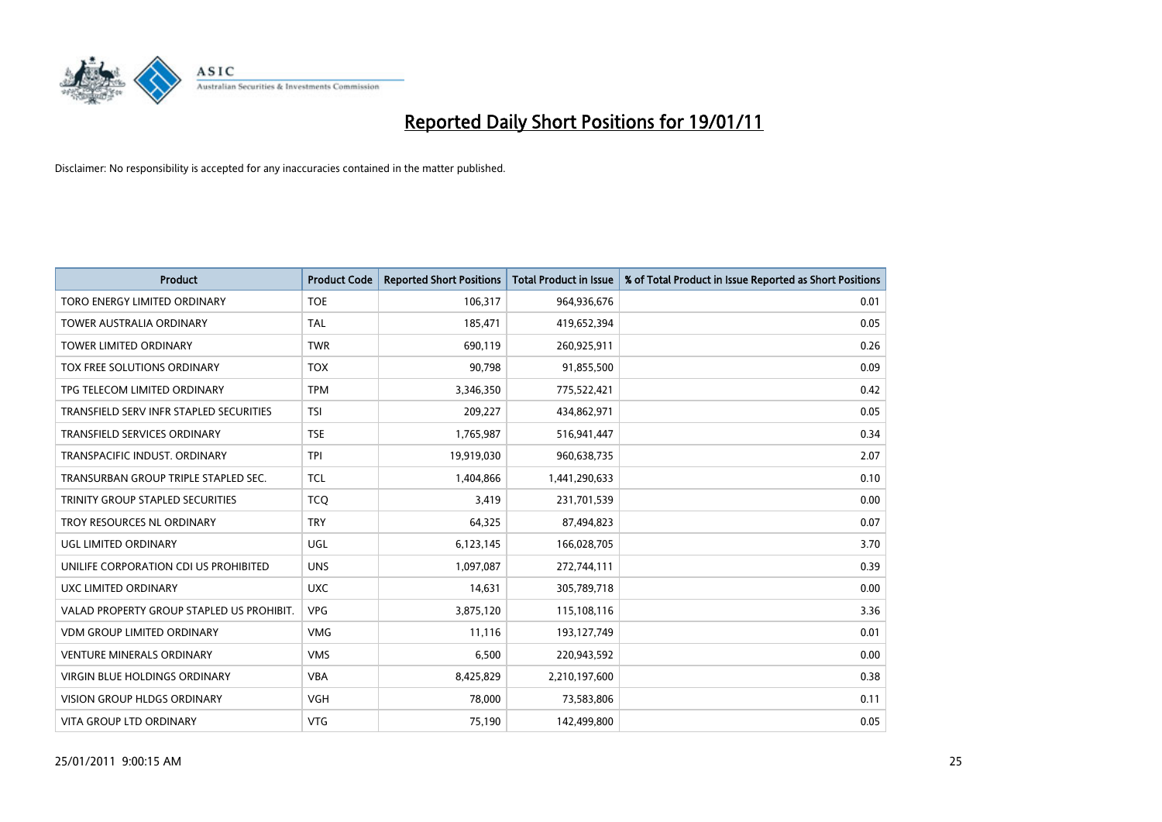

| <b>Product</b>                            | <b>Product Code</b> | <b>Reported Short Positions</b> | <b>Total Product in Issue</b> | % of Total Product in Issue Reported as Short Positions |
|-------------------------------------------|---------------------|---------------------------------|-------------------------------|---------------------------------------------------------|
| TORO ENERGY LIMITED ORDINARY              | <b>TOE</b>          | 106,317                         | 964,936,676                   | 0.01                                                    |
| TOWER AUSTRALIA ORDINARY                  | <b>TAL</b>          | 185,471                         | 419,652,394                   | 0.05                                                    |
| <b>TOWER LIMITED ORDINARY</b>             | <b>TWR</b>          | 690,119                         | 260,925,911                   | 0.26                                                    |
| TOX FREE SOLUTIONS ORDINARY               | <b>TOX</b>          | 90,798                          | 91,855,500                    | 0.09                                                    |
| TPG TELECOM LIMITED ORDINARY              | <b>TPM</b>          | 3,346,350                       | 775,522,421                   | 0.42                                                    |
| TRANSFIELD SERV INFR STAPLED SECURITIES   | <b>TSI</b>          | 209,227                         | 434,862,971                   | 0.05                                                    |
| <b>TRANSFIELD SERVICES ORDINARY</b>       | <b>TSE</b>          | 1,765,987                       | 516,941,447                   | 0.34                                                    |
| TRANSPACIFIC INDUST. ORDINARY             | <b>TPI</b>          | 19,919,030                      | 960,638,735                   | 2.07                                                    |
| TRANSURBAN GROUP TRIPLE STAPLED SEC.      | <b>TCL</b>          | 1,404,866                       | 1,441,290,633                 | 0.10                                                    |
| TRINITY GROUP STAPLED SECURITIES          | <b>TCO</b>          | 3,419                           | 231,701,539                   | 0.00                                                    |
| TROY RESOURCES NL ORDINARY                | <b>TRY</b>          | 64,325                          | 87,494,823                    | 0.07                                                    |
| UGL LIMITED ORDINARY                      | UGL                 | 6,123,145                       | 166,028,705                   | 3.70                                                    |
| UNILIFE CORPORATION CDI US PROHIBITED     | <b>UNS</b>          | 1,097,087                       | 272,744,111                   | 0.39                                                    |
| <b>UXC LIMITED ORDINARY</b>               | <b>UXC</b>          | 14,631                          | 305,789,718                   | 0.00                                                    |
| VALAD PROPERTY GROUP STAPLED US PROHIBIT. | <b>VPG</b>          | 3,875,120                       | 115,108,116                   | 3.36                                                    |
| <b>VDM GROUP LIMITED ORDINARY</b>         | <b>VMG</b>          | 11,116                          | 193,127,749                   | 0.01                                                    |
| <b>VENTURE MINERALS ORDINARY</b>          | <b>VMS</b>          | 6,500                           | 220,943,592                   | 0.00                                                    |
| VIRGIN BLUE HOLDINGS ORDINARY             | <b>VBA</b>          | 8,425,829                       | 2,210,197,600                 | 0.38                                                    |
| <b>VISION GROUP HLDGS ORDINARY</b>        | <b>VGH</b>          | 78,000                          | 73,583,806                    | 0.11                                                    |
| VITA GROUP LTD ORDINARY                   | <b>VTG</b>          | 75,190                          | 142,499,800                   | 0.05                                                    |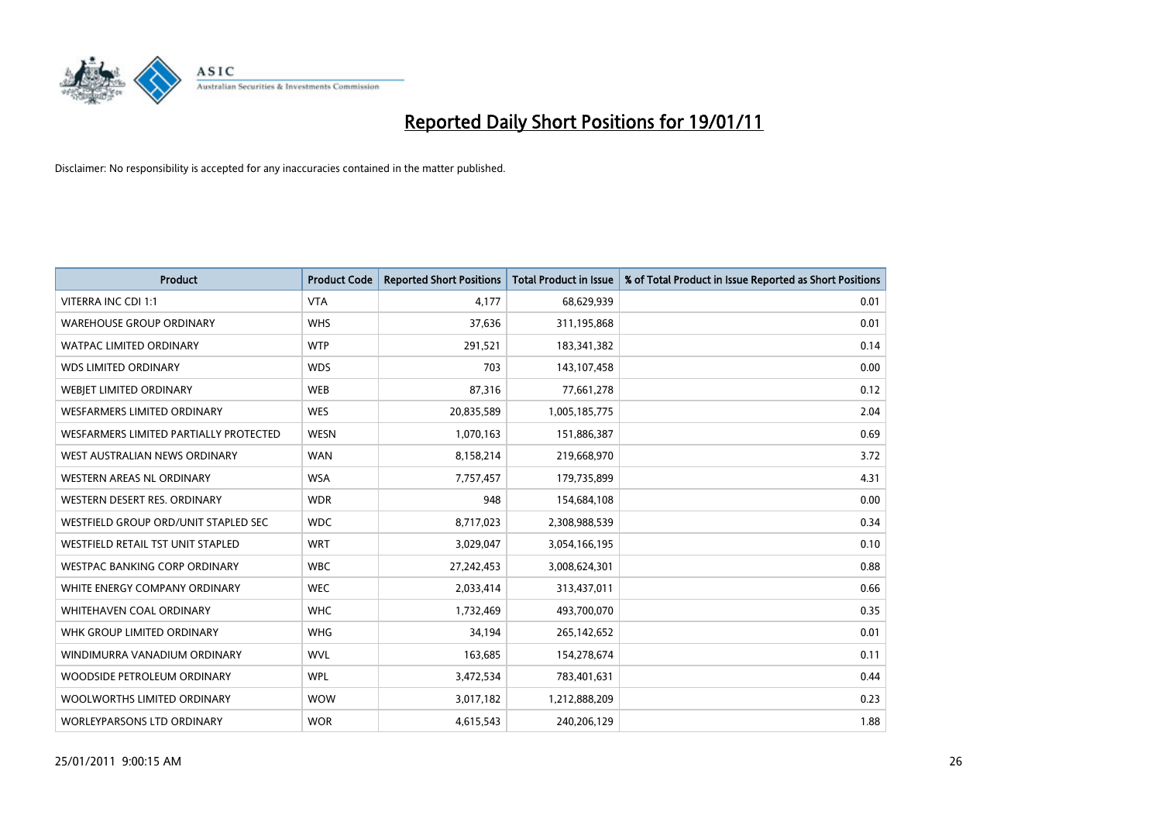

| <b>Product</b>                         | <b>Product Code</b> | <b>Reported Short Positions</b> | <b>Total Product in Issue</b> | % of Total Product in Issue Reported as Short Positions |
|----------------------------------------|---------------------|---------------------------------|-------------------------------|---------------------------------------------------------|
| VITERRA INC CDI 1:1                    | <b>VTA</b>          | 4,177                           | 68,629,939                    | 0.01                                                    |
| <b>WAREHOUSE GROUP ORDINARY</b>        | <b>WHS</b>          | 37,636                          | 311,195,868                   | 0.01                                                    |
| <b>WATPAC LIMITED ORDINARY</b>         | <b>WTP</b>          | 291,521                         | 183,341,382                   | 0.14                                                    |
| <b>WDS LIMITED ORDINARY</b>            | <b>WDS</b>          | 703                             | 143,107,458                   | 0.00                                                    |
| <b>WEBIET LIMITED ORDINARY</b>         | <b>WEB</b>          | 87,316                          | 77,661,278                    | 0.12                                                    |
| WESFARMERS LIMITED ORDINARY            | <b>WES</b>          | 20,835,589                      | 1,005,185,775                 | 2.04                                                    |
| WESFARMERS LIMITED PARTIALLY PROTECTED | <b>WESN</b>         | 1,070,163                       | 151,886,387                   | 0.69                                                    |
| WEST AUSTRALIAN NEWS ORDINARY          | <b>WAN</b>          | 8,158,214                       | 219,668,970                   | 3.72                                                    |
| <b>WESTERN AREAS NL ORDINARY</b>       | <b>WSA</b>          | 7,757,457                       | 179,735,899                   | 4.31                                                    |
| WESTERN DESERT RES. ORDINARY           | <b>WDR</b>          | 948                             | 154,684,108                   | 0.00                                                    |
| WESTFIELD GROUP ORD/UNIT STAPLED SEC   | <b>WDC</b>          | 8,717,023                       | 2,308,988,539                 | 0.34                                                    |
| WESTFIELD RETAIL TST UNIT STAPLED      | <b>WRT</b>          | 3,029,047                       | 3,054,166,195                 | 0.10                                                    |
| WESTPAC BANKING CORP ORDINARY          | <b>WBC</b>          | 27,242,453                      | 3,008,624,301                 | 0.88                                                    |
| WHITE ENERGY COMPANY ORDINARY          | <b>WEC</b>          | 2,033,414                       | 313,437,011                   | 0.66                                                    |
| <b>WHITEHAVEN COAL ORDINARY</b>        | <b>WHC</b>          | 1,732,469                       | 493,700,070                   | 0.35                                                    |
| WHK GROUP LIMITED ORDINARY             | <b>WHG</b>          | 34,194                          | 265,142,652                   | 0.01                                                    |
| WINDIMURRA VANADIUM ORDINARY           | <b>WVL</b>          | 163,685                         | 154,278,674                   | 0.11                                                    |
| WOODSIDE PETROLEUM ORDINARY            | <b>WPL</b>          | 3,472,534                       | 783,401,631                   | 0.44                                                    |
| WOOLWORTHS LIMITED ORDINARY            | <b>WOW</b>          | 3,017,182                       | 1,212,888,209                 | 0.23                                                    |
| WORLEYPARSONS LTD ORDINARY             | <b>WOR</b>          | 4,615,543                       | 240,206,129                   | 1.88                                                    |